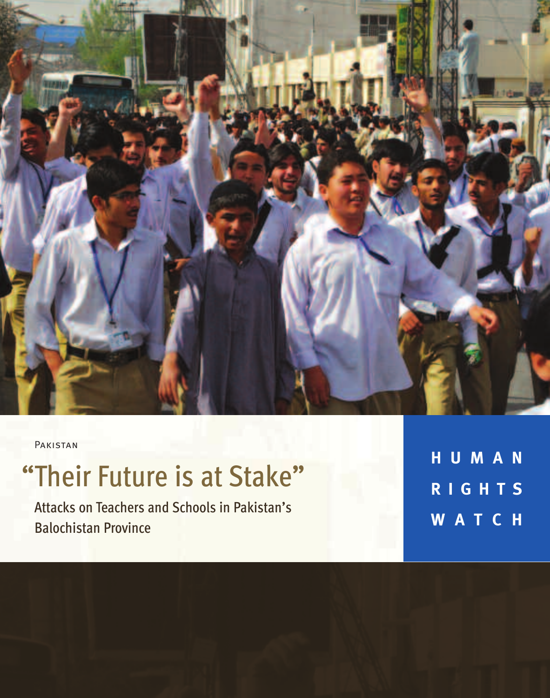

Pakistan

# "Their Future is at Stake"

Attacks on Teachers and Schools in Pakistan's Balochistan Province

**H U M A N R I G H T S W A T C H**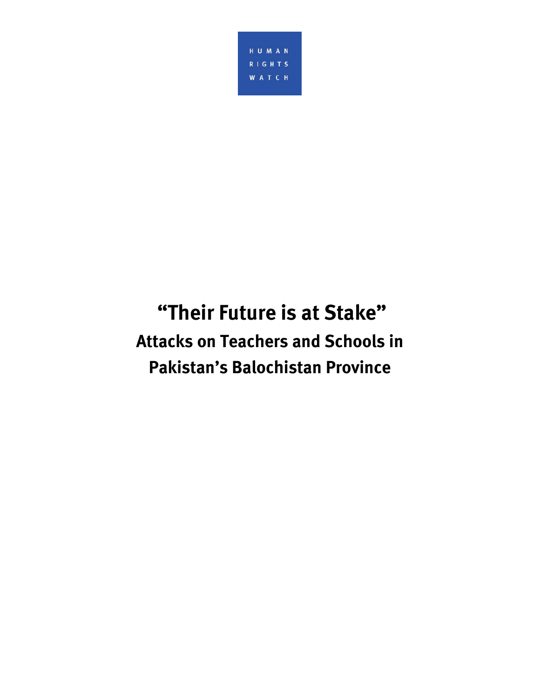

# **"Their Future is at Stake" Attacks on Teachers and Schools in Pakistan's Balochistan Province**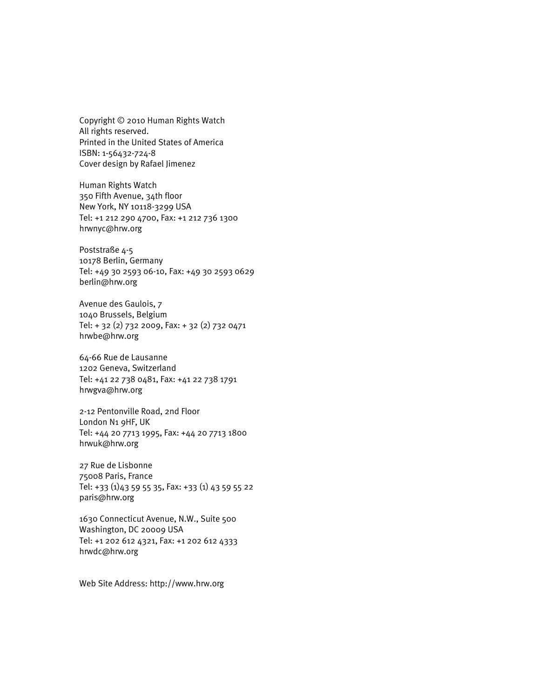Copyright © 2010 Human Rights Watch All rights reserved. Printed in the United States of America ISBN: 1-56432-724-8 Cover design by Rafael Jimenez

Human Rights Watch 350 Fifth Avenue, 34th floor New York, NY 10118-3299 USA Tel: +1 212 290 4700, Fax: +1 212 736 1300 hrwnyc@hrw.org

Poststraße 4-5 10178 Berlin, Germany Tel: +49 30 2593 06-10, Fax: +49 30 2593 0629 berlin@hrw.org

Avenue des Gaulois, 7 1040 Brussels, Belgium Tel: + 32 (2) 732 2009, Fax: + 32 (2) 732 0471 hrwbe@hrw.org

64-66 Rue de Lausanne 1202 Geneva, Switzerland Tel: +41 22 738 0481, Fax: +41 22 738 1791 hrwgva@hrw.org

2-12 Pentonville Road, 2nd Floor London N1 9HF, UK Tel: +44 20 7713 1995, Fax: +44 20 7713 1800 hrwuk@hrw.org

27 Rue de Lisbonne 75008 Paris, France Tel: +33 (1)43 59 55 35, Fax: +33 (1) 43 59 55 22 paris@hrw.org

1630 Connecticut Avenue, N.W., Suite 500 Washington, DC 20009 USA Tel: +1 202 612 4321, Fax: +1 202 612 4333 hrwdc@hrw.org

Web Site Address: http://www.hrw.org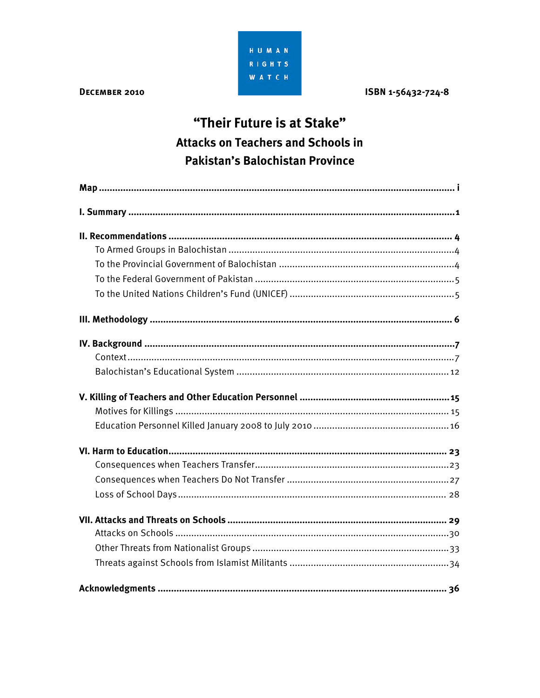HUMAN **RIGHTS WATCH** 

#### DECEMBER 2010

ISBN 1-56432-724-8

## "Their Future is at Stake" **Attacks on Teachers and Schools in** Pakistan's Balochistan Province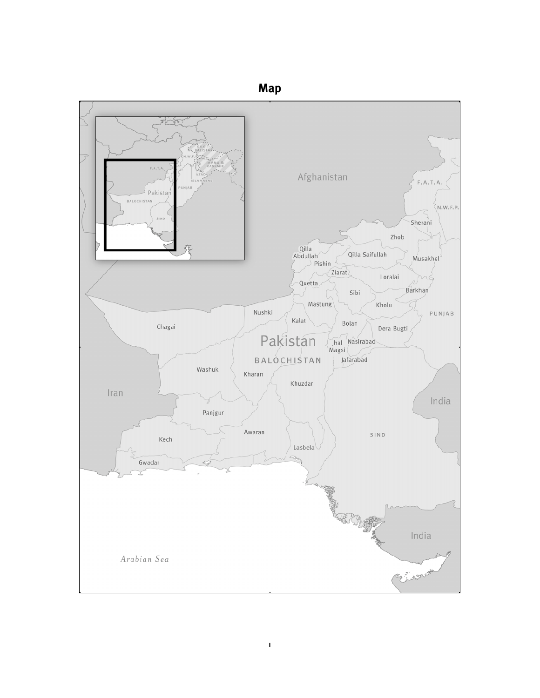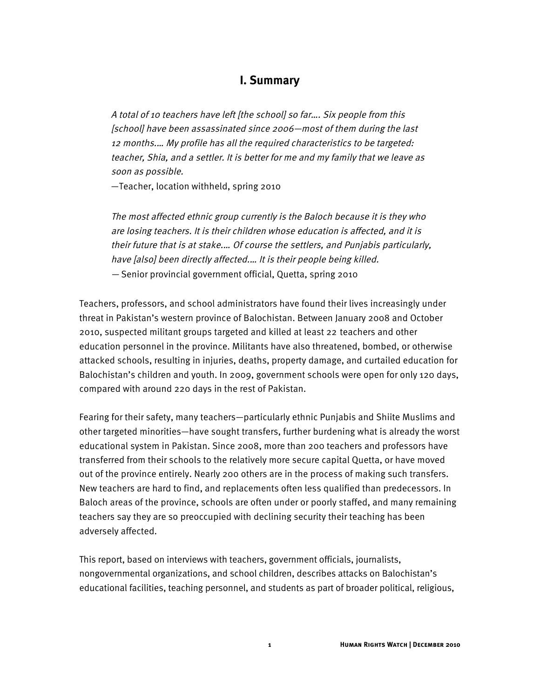## **I. Summary**

A total of 10 teachers have left [the school] so far…. Six people from this [school] have been assassinated since 2006—most of them during the last 12 months.… My profile has all the required characteristics to be targeted: teacher, Shia, and a settler. It is better for me and my family that we leave as soon as possible.

—Teacher, location withheld, spring 2010

The most affected ethnic group currently is the Baloch because it is they who are losing teachers. It is their children whose education is affected, and it is their future that is at stake.… Of course the settlers, and Punjabis particularly, have [also] been directly affected.… It is their people being killed. — Senior provincial government official, Quetta, spring 2010

Teachers, professors, and school administrators have found their lives increasingly under threat in Pakistan's western province of Balochistan. Between January 2008 and October 2010, suspected militant groups targeted and killed at least 22 teachers and other education personnel in the province. Militants have also threatened, bombed, or otherwise attacked schools, resulting in injuries, deaths, property damage, and curtailed education for Balochistan's children and youth. In 2009, government schools were open for only 120 days, compared with around 220 days in the rest of Pakistan.

Fearing for their safety, many teachers—particularly ethnic Punjabis and Shiite Muslims and other targeted minorities—have sought transfers, further burdening what is already the worst educational system in Pakistan. Since 2008, more than 200 teachers and professors have transferred from their schools to the relatively more secure capital Quetta, or have moved out of the province entirely. Nearly 200 others are in the process of making such transfers. New teachers are hard to find, and replacements often less qualified than predecessors. In Baloch areas of the province, schools are often under or poorly staffed, and many remaining teachers say they are so preoccupied with declining security their teaching has been adversely affected.

This report, based on interviews with teachers, government officials, journalists, nongovernmental organizations, and school children, describes attacks on Balochistan's educational facilities, teaching personnel, and students as part of broader political, religious,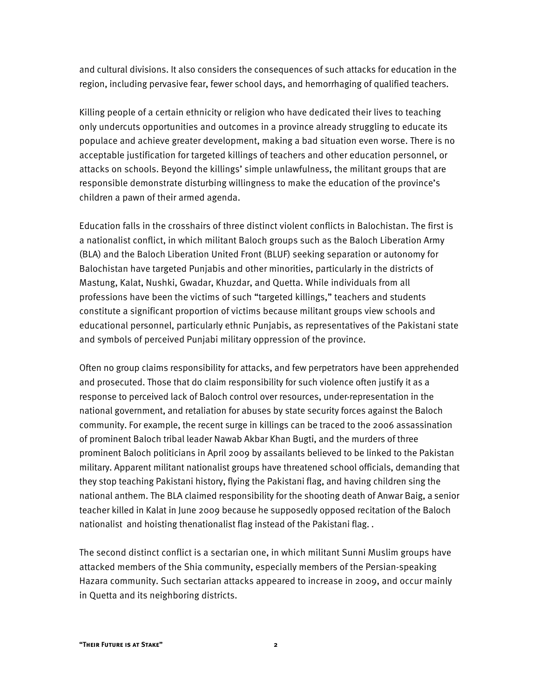and cultural divisions. It also considers the consequences of such attacks for education in the region, including pervasive fear, fewer school days, and hemorrhaging of qualified teachers.

Killing people of a certain ethnicity or religion who have dedicated their lives to teaching only undercuts opportunities and outcomes in a province already struggling to educate its populace and achieve greater development, making a bad situation even worse. There is no acceptable justification for targeted killings of teachers and other education personnel, or attacks on schools. Beyond the killings' simple unlawfulness, the militant groups that are responsible demonstrate disturbing willingness to make the education of the province's children a pawn of their armed agenda.

Education falls in the crosshairs of three distinct violent conflicts in Balochistan. The first is a nationalist conflict, in which militant Baloch groups such as the Baloch Liberation Army (BLA) and the Baloch Liberation United Front (BLUF) seeking separation or autonomy for Balochistan have targeted Punjabis and other minorities, particularly in the districts of Mastung, Kalat, Nushki, Gwadar, Khuzdar, and Quetta. While individuals from all professions have been the victims of such "targeted killings," teachers and students constitute a significant proportion of victims because militant groups view schools and educational personnel, particularly ethnic Punjabis, as representatives of the Pakistani state and symbols of perceived Punjabi military oppression of the province.

Often no group claims responsibility for attacks, and few perpetrators have been apprehended and prosecuted. Those that do claim responsibility for such violence often justify it as a response to perceived lack of Baloch control over resources, under-representation in the national government, and retaliation for abuses by state security forces against the Baloch community. For example, the recent surge in killings can be traced to the 2006 assassination of prominent Baloch tribal leader Nawab Akbar Khan Bugti, and the murders of three prominent Baloch politicians in April 2009 by assailants believed to be linked to the Pakistan military. Apparent militant nationalist groups have threatened school officials, demanding that they stop teaching Pakistani history, flying the Pakistani flag, and having children sing the national anthem. The BLA claimed responsibility for the shooting death of Anwar Baig, a senior teacher killed in Kalat in June 2009 because he supposedly opposed recitation of the Baloch nationalist and hoisting thenationalist flag instead of the Pakistani flag. .

The second distinct conflict is a sectarian one, in which militant Sunni Muslim groups have attacked members of the Shia community, especially members of the Persian-speaking Hazara community. Such sectarian attacks appeared to increase in 2009, and occur mainly in Quetta and its neighboring districts.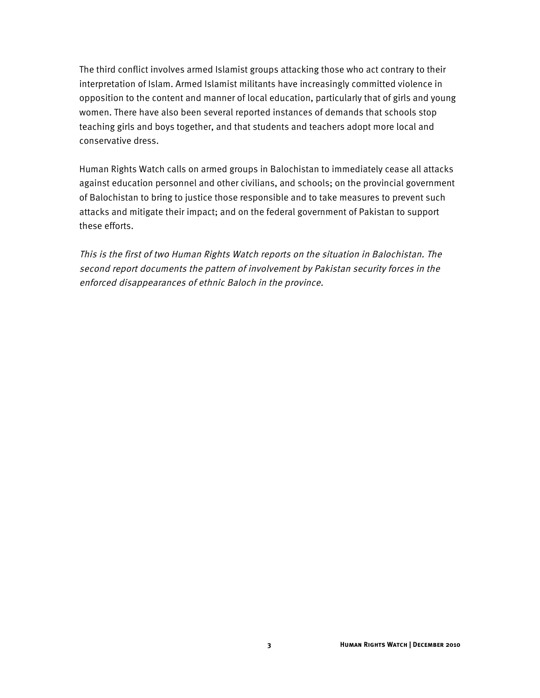The third conflict involves armed Islamist groups attacking those who act contrary to their interpretation of Islam. Armed Islamist militants have increasingly committed violence in opposition to the content and manner of local education, particularly that of girls and young women. There have also been several reported instances of demands that schools stop teaching girls and boys together, and that students and teachers adopt more local and conservative dress.

Human Rights Watch calls on armed groups in Balochistan to immediately cease all attacks against education personnel and other civilians, and schools; on the provincial government of Balochistan to bring to justice those responsible and to take measures to prevent such attacks and mitigate their impact; and on the federal government of Pakistan to support these efforts.

This is the first of two Human Rights Watch reports on the situation in Balochistan. The second report documents the pattern of involvement by Pakistan security forces in the enforced disappearances of ethnic Baloch in the province.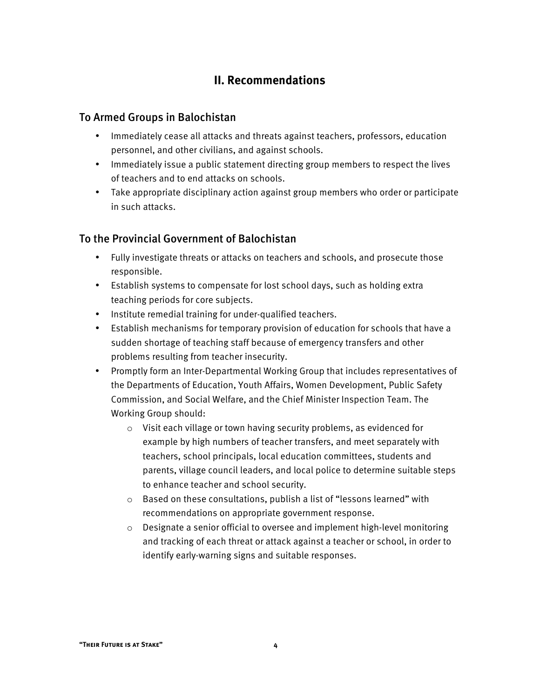## **II. Recommendations**

## To Armed Groups in Balochistan

- Immediately cease all attacks and threats against teachers, professors, education personnel, and other civilians, and against schools.
- Immediately issue a public statement directing group members to respect the lives of teachers and to end attacks on schools.
- Take appropriate disciplinary action against group members who order or participate in such attacks.

## To the Provincial Government of Balochistan

- Fully investigate threats or attacks on teachers and schools, and prosecute those responsible.
- Establish systems to compensate for lost school days, such as holding extra teaching periods for core subjects.
- Institute remedial training for under-qualified teachers.
- Establish mechanisms for temporary provision of education for schools that have a sudden shortage of teaching staff because of emergency transfers and other problems resulting from teacher insecurity.
- Promptly form an Inter-Departmental Working Group that includes representatives of the Departments of Education, Youth Affairs, Women Development, Public Safety Commission, and Social Welfare, and the Chief Minister Inspection Team. The Working Group should:
	- o Visit each village or town having security problems, as evidenced for example by high numbers of teacher transfers, and meet separately with teachers, school principals, local education committees, students and parents, village council leaders, and local police to determine suitable steps to enhance teacher and school security.
	- o Based on these consultations, publish a list of "lessons learned" with recommendations on appropriate government response.
	- o Designate a senior official to oversee and implement high-level monitoring and tracking of each threat or attack against a teacher or school, in order to identify early-warning signs and suitable responses.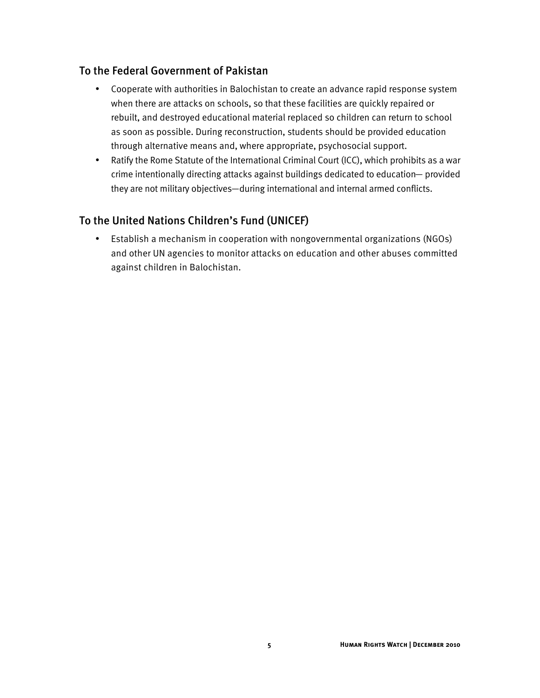## To the Federal Government of Pakistan

- Cooperate with authorities in Balochistan to create an advance rapid response system when there are attacks on schools, so that these facilities are quickly repaired or rebuilt, and destroyed educational material replaced so children can return to school as soon as possible. During reconstruction, students should be provided education through alternative means and, where appropriate, psychosocial support.
- Ratify the Rome Statute of the International Criminal Court (ICC), which prohibits as a war crime intentionally directing attacks against buildings dedicated to education— provided they are not military objectives—during international and internal armed conflicts.

## To the United Nations Children's Fund (UNICEF)

• Establish a mechanism in cooperation with nongovernmental organizations (NGOs) and other UN agencies to monitor attacks on education and other abuses committed against children in Balochistan.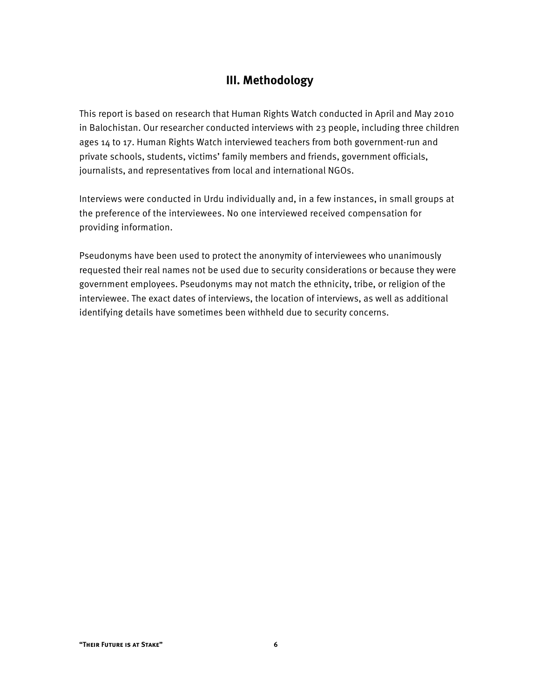## **III. Methodology**

This report is based on research that Human Rights Watch conducted in April and May 2010 in Balochistan. Our researcher conducted interviews with 23 people, including three children ages 14 to 17. Human Rights Watch interviewed teachers from both government-run and private schools, students, victims' family members and friends, government officials, journalists, and representatives from local and international NGOs.

Interviews were conducted in Urdu individually and, in a few instances, in small groups at the preference of the interviewees. No one interviewed received compensation for providing information.

Pseudonyms have been used to protect the anonymity of interviewees who unanimously requested their real names not be used due to security considerations or because they were government employees. Pseudonyms may not match the ethnicity, tribe, or religion of the interviewee. The exact dates of interviews, the location of interviews, as well as additional identifying details have sometimes been withheld due to security concerns.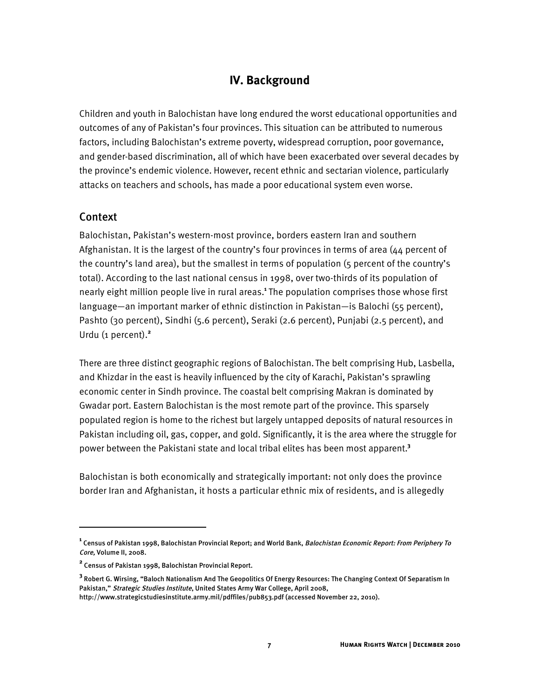## **IV. Background**

Children and youth in Balochistan have long endured the worst educational opportunities and outcomes of any of Pakistan's four provinces. This situation can be attributed to numerous factors, including Balochistan's extreme poverty, widespread corruption, poor governance, and gender-based discrimination, all of which have been exacerbated over several decades by the province's endemic violence. However, recent ethnic and sectarian violence, particularly attacks on teachers and schools, has made a poor educational system even worse.

#### Context

İ

Balochistan, Pakistan's western-most province, borders eastern Iran and southern Afghanistan. It is the largest of the country's four provinces in terms of area (44 percent of the country's land area), but the smallest in terms of population (5 percent of the country's total). According to the last national census in 1998, over two-thirds of its population of nearly eight million people live in rural areas.**<sup>1</sup>** The population comprises those whose first language—an important marker of ethnic distinction in Pakistan—is Balochi (55 percent), Pashto (30 percent), Sindhi (5.6 percent), Seraki (2.6 percent), Punjabi (2.5 percent), and Urdu (1 percent).**<sup>2</sup>**

There are three distinct geographic regions of Balochistan. The belt comprising Hub, Lasbella, and Khizdar in the east is heavily influenced by the city of Karachi, Pakistan's sprawling economic center in Sindh province. The coastal belt comprising Makran is dominated by Gwadar port. Eastern Balochistan is the most remote part of the province. This sparsely populated region is home to the richest but largely untapped deposits of natural resources in Pakistan including oil, gas, copper, and gold. Significantly, it is the area where the struggle for power between the Pakistani state and local tribal elites has been most apparent.**<sup>3</sup>**

Balochistan is both economically and strategically important: not only does the province border Iran and Afghanistan, it hosts a particular ethnic mix of residents, and is allegedly

**<sup>1</sup>** Census of Pakistan 1998, Balochistan Provincial Report; and World Bank, Balochistan Economic Report: From Periphery To Core, Volume II, 2008.

**<sup>2</sup>** Census of Pakistan 1998, Balochistan Provincial Report.

**<sup>3</sup>** Robert G. Wirsing, "Baloch Nationalism And The Geopolitics Of Energy Resources: The Changing Context Of Separatism In Pakistan," Strategic Studies Institute, United States Army War College, April 2008,

http://www.strategicstudiesinstitute.army.mil/pdffiles/pub853.pdf (accessed November 22, 2010).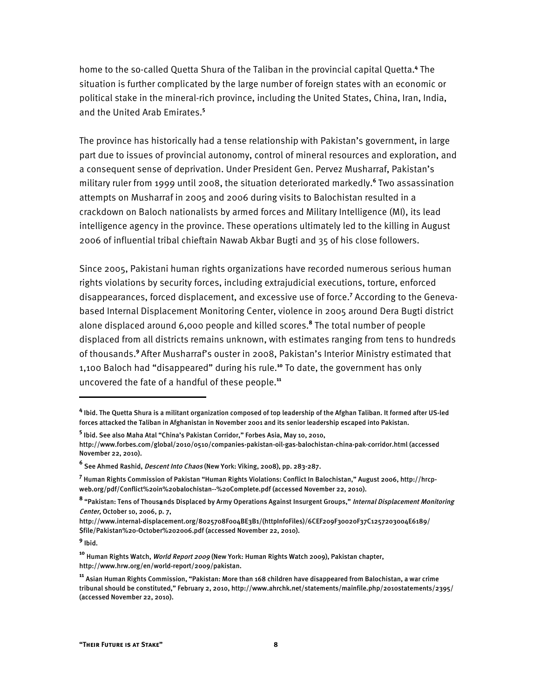home to the so-called Quetta Shura of the Taliban in the provincial capital Quetta.<sup>4</sup> The situation is further complicated by the large number of foreign states with an economic or political stake in the mineral-rich province, including the United States, China, Iran, India, and the United Arab Emirates.**<sup>5</sup>**

The province has historically had a tense relationship with Pakistan's government, in large part due to issues of provincial autonomy, control of mineral resources and exploration, and a consequent sense of deprivation. Under President Gen. Pervez Musharraf, Pakistan's military ruler from 1999 until 2008, the situation deteriorated markedly.**<sup>6</sup>** Two assassination attempts on Musharraf in 2005 and 2006 during visits to Balochistan resulted in a crackdown on Baloch nationalists by armed forces and Military Intelligence (MI), its lead intelligence agency in the province. These operations ultimately led to the killing in August 2006 of influential tribal chieftain Nawab Akbar Bugti and 35 of his close followers.

Since 2005, Pakistani human rights organizations have recorded numerous serious human rights violations by security forces, including extrajudicial executions, torture, enforced disappearances, forced displacement, and excessive use of force.<sup>7</sup> According to the Genevabased Internal Displacement Monitoring Center, violence in 2005 around Dera Bugti district alone displaced around 6,000 people and killed scores.**<sup>8</sup>** The total number of people displaced from all districts remains unknown, with estimates ranging from tens to hundreds of thousands.**<sup>9</sup>** After Musharraf's ouster in 2008, Pakistan's Interior Ministry estimated that 1,100 Baloch had "disappeared" during his rule.**<sup>10</sup>** To date, the government has only uncovered the fate of a handful of these people. **11**

**9** Ibid.

 $\overline{a}$ 

**<sup>4</sup>** Ibid. The Quetta Shura is a militant organization composed of top leadership of the Afghan Taliban. It formed after US-led forces attacked the Taliban in Afghanistan in November 2001 and its senior leadership escaped into Pakistan.

**<sup>5</sup>** Ibid. See also Maha Atal "China's Pakistan Corridor," Forbes Asia, May 10, 2010,

http://www.forbes.com/global/2010/0510/companies-pakistan-oil-gas-balochistan-china-pak-corridor.html (accessed November 22, 2010).

**<sup>6</sup>** See Ahmed Rashid, Descent Into Chaos (New York: Viking, 2008), pp. 283-287.

**<sup>7</sup>** Human Rights Commission of Pakistan "Human Rights Violations: Conflict In Balochistan," August 2006, http://hrcpweb.org/pdf/Conflict%20in%20balochistan--%20Complete.pdf (accessed November 22, 2010).

**<sup>8</sup>** "Pakistan: Tens of Thousands Displaced by Army Operations Against Insurgent Groups," Internal Displacement Monitoring Center, October 10, 2006, p. 7,

http://www.internal-displacement.org/8025708F004BE3B1/(httpInfoFiles)/6CEF209F30020F37C1257203004E6189/ \$file/Pakistan%20-October%202006.pdf (accessed November 22, 2010).

**<sup>10</sup>** Human Rights Watch, World Report 2009 (New York: Human Rights Watch 2009), Pakistan chapter, http://www.hrw.org/en/world-report/2009/pakistan.

**<sup>11</sup>** Asian Human Rights Commission, "Pakistan: More than 168 children have disappeared from Balochistan, a war crime tribunal should be constituted," February 2, 2010, http://www.ahrchk.net/statements/mainfile.php/2010statements/2395/ (accessed November 22, 2010).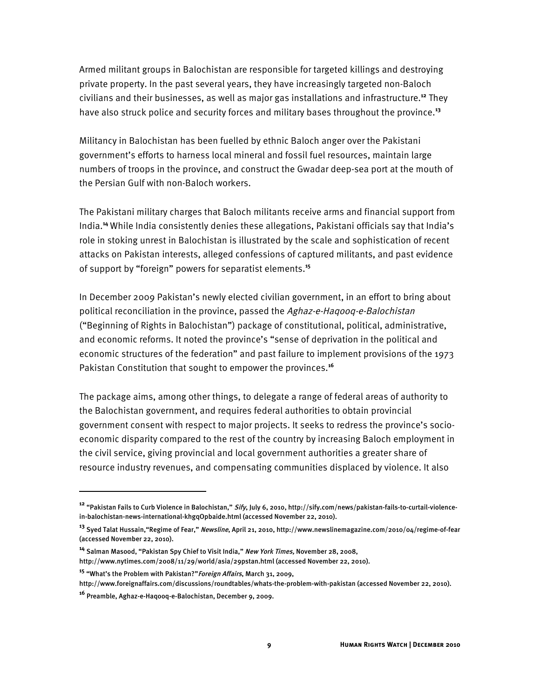Armed militant groups in Balochistan are responsible for targeted killings and destroying private property. In the past several years, they have increasingly targeted non-Baloch civilians and their businesses, as well as major gas installations and infrastructure. **<sup>12</sup>** They have also struck police and security forces and military bases throughout the province. **13**

Militancy in Balochistan has been fuelled by ethnic Baloch anger over the Pakistani government's efforts to harness local mineral and fossil fuel resources, maintain large numbers of troops in the province, and construct the Gwadar deep-sea port at the mouth of the Persian Gulf with non-Baloch workers.

The Pakistani military charges that Baloch militants receive arms and financial support from India.**<sup>14</sup>** While India consistently denies these allegations, Pakistani officials say that India's role in stoking unrest in Balochistan is illustrated by the scale and sophistication of recent attacks on Pakistan interests, alleged confessions of captured militants, and past evidence of support by "foreign" powers for separatist elements.**<sup>15</sup>**

In December 2009 Pakistan's newly elected civilian government, in an effort to bring about political reconciliation in the province, passed the Aghaz-e-Haqooq-e-Balochistan ("Beginning of Rights in Balochistan") package of constitutional, political, administrative, and economic reforms. It noted the province's "sense of deprivation in the political and economic structures of the federation" and past failure to implement provisions of the 1973 Pakistan Constitution that sought to empower the provinces.**<sup>16</sup>**

The package aims, among other things, to delegate a range of federal areas of authority to the Balochistan government, and requires federal authorities to obtain provincial government consent with respect to major projects. It seeks to redress the province's socioeconomic disparity compared to the rest of the country by increasing Baloch employment in the civil service, giving provincial and local government authorities a greater share of resource industry revenues, and compensating communities displaced by violence. It also

֬֘֒

**<sup>12</sup>** "Pakistan Fails to Curb Violence in Balochistan," Sify, July 6, 2010, http://sify.com/news/pakistan-fails-to-curtail-violencein-balochistan-news-international-khgqOpbaide.html (accessed November 22, 2010).

**<sup>13</sup>** Syed Talat Hussain,"Regime of Fear," Newsline, April 21, 2010, http://www.newslinemagazine.com/2010/04/regime-of-fear (accessed November 22, 2010).

**<sup>14</sup>** Salman Masood, "Pakistan Spy Chief to Visit India," New York Times, November 28, 2008,

http://www.nytimes.com/2008/11/29/world/asia/29pstan.html (accessed November 22, 2010).

**<sup>15</sup>** "What's the Problem with Pakistan?"Foreign Affairs, March 31, 2009,

http://www.foreignaffairs.com/discussions/roundtables/whats-the-problem-with-pakistan (accessed November 22, 2010).

**<sup>16</sup>** Preamble, Aghaz-e-Haqooq-e-Balochistan, December 9, 2009.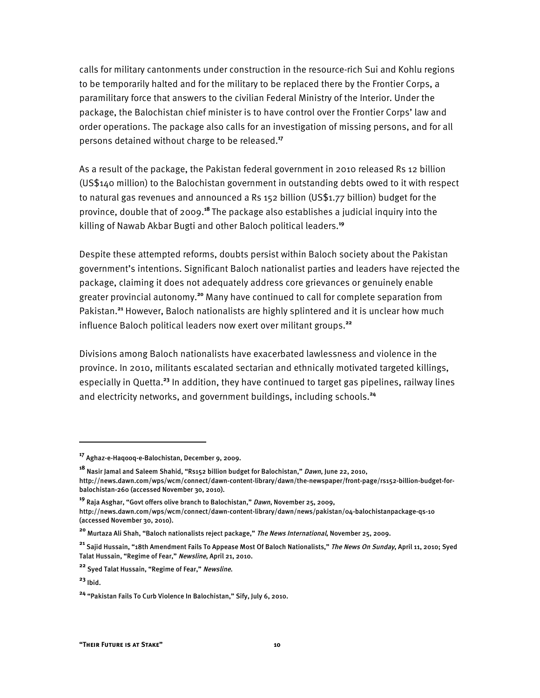calls for military cantonments under construction in the resource-rich Sui and Kohlu regions to be temporarily halted and for the military to be replaced there by the Frontier Corps, a paramilitary force that answers to the civilian Federal Ministry of the Interior. Under the package, the Balochistan chief minister is to have control over the Frontier Corps' law and order operations. The package also calls for an investigation of missing persons, and for all persons detained without charge to be released.**<sup>17</sup>**

As a result of the package, the Pakistan federal government in 2010 released Rs 12 billion (US\$140 million) to the Balochistan government in outstanding debts owed to it with respect to natural gas revenues and announced a Rs 152 billion (US\$1.77 billion) budget for the province, double that of 2009. **<sup>18</sup>** The package also establishes a judicial inquiry into the killing of Nawab Akbar Bugti and other Baloch political leaders.**<sup>19</sup>**

Despite these attempted reforms, doubts persist within Baloch society about the Pakistan government's intentions. Significant Baloch nationalist parties and leaders have rejected the package, claiming it does not adequately address core grievances or genuinely enable greater provincial autonomy.**<sup>20</sup>** Many have continued to call for complete separation from Pakistan.**<sup>21</sup>** However, Baloch nationalists are highly splintered and it is unclear how much influence Baloch political leaders now exert over militant groups.**<sup>22</sup>**

Divisions among Baloch nationalists have exacerbated lawlessness and violence in the province. In 2010, militants escalated sectarian and ethnically motivated targeted killings, especially in Quetta.**<sup>23</sup>** In addition, they have continued to target gas pipelines, railway lines and electricity networks, and government buildings, including schools. **24**

İ

**<sup>17</sup>** Aghaz-e-Haqooq-e-Balochistan, December 9, 2009.

**<sup>18</sup>** Nasir Jamal and Saleem Shahid, "Rs152 billion budget for Balochistan," Dawn, June 22, 2010, http://news.dawn.com/wps/wcm/connect/dawn-content-library/dawn/the-newspaper/front-page/rs152-billion-budget-forbalochistan-260 (accessed November 30, 2010).

**<sup>19</sup>** Raja Asghar, "Govt offers olive branch to Balochistan," Dawn, November 25, 2009,

http://news.dawn.com/wps/wcm/connect/dawn-content-library/dawn/news/pakistan/04-balochistanpackage-qs-10 (accessed November 30, 2010).

**<sup>20</sup>** Murtaza Ali Shah, "Baloch nationalists reject package," The News International, November 25, 2009.

**<sup>21</sup>** Sajid Hussain, "18th Amendment Fails To Appease Most Of Baloch Nationalists," The News On Sunday, April 11, 2010; Syed Talat Hussain, "Regime of Fear," Newsline, April 21, 2010.

**<sup>22</sup>** Syed Talat Hussain, "Regime of Fear," Newsline.

**<sup>23</sup>** Ibid.

**<sup>24</sup>** "Pakistan Fails To Curb Violence In Balochistan," Sify, July 6, 2010.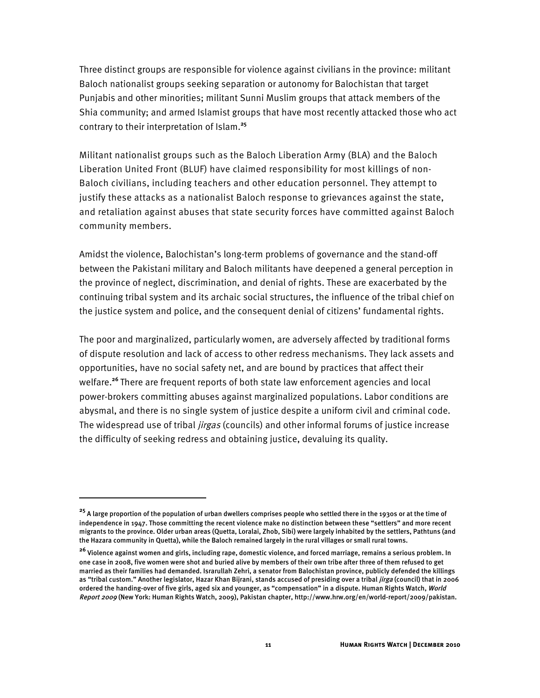Three distinct groups are responsible for violence against civilians in the province: militant Baloch nationalist groups seeking separation or autonomy for Balochistan that target Punjabis and other minorities; militant Sunni Muslim groups that attack members of the Shia community; and armed Islamist groups that have most recently attacked those who act contrary to their interpretation of Islam.**<sup>25</sup>**

Militant nationalist groups such as the Baloch Liberation Army (BLA) and the Baloch Liberation United Front (BLUF) have claimed responsibility for most killings of non-Baloch civilians, including teachers and other education personnel. They attempt to justify these attacks as a nationalist Baloch response to grievances against the state, and retaliation against abuses that state security forces have committed against Baloch community members.

Amidst the violence, Balochistan's long-term problems of governance and the stand-off between the Pakistani military and Baloch militants have deepened a general perception in the province of neglect, discrimination, and denial of rights. These are exacerbated by the continuing tribal system and its archaic social structures, the influence of the tribal chief on the justice system and police, and the consequent denial of citizens' fundamental rights.

The poor and marginalized, particularly women, are adversely affected by traditional forms of dispute resolution and lack of access to other redress mechanisms. They lack assets and opportunities, have no social safety net, and are bound by practices that affect their welfare.**<sup>26</sup>** There are frequent reports of both state law enforcement agencies and local power-brokers committing abuses against marginalized populations. Labor conditions are abysmal, and there is no single system of justice despite a uniform civil and criminal code. The widespread use of tribal *jirgas* (councils) and other informal forums of justice increase the difficulty of seeking redress and obtaining justice, devaluing its quality.

İ

**<sup>25</sup>** A large proportion of the population of urban dwellers comprises people who settled there in the 1930s or at the time of independence in 1947. Those committing the recent violence make no distinction between these "settlers" and more recent migrants to the province. Older urban areas (Quetta, Loralai, Zhob, Sibi) were largely inhabited by the settlers, Pathtuns (and the Hazara community in Quetta), while the Baloch remained largely in the rural villages or small rural towns.

**<sup>26</sup>** Violence against women and girls, including rape, domestic violence, and forced marriage, remains a serious problem. In one case in 2008, five women were shot and buried alive by members of their own tribe after three of them refused to get married as their families had demanded. Israrullah Zehri, a senator from Balochistan province, publicly defended the killings as "tribal custom." Another legislator, Hazar Khan Bijrani, stands accused of presiding over a tribal *jirga* (council) that in 2006 ordered the handing-over of five girls, aged six and younger, as "compensation" in a dispute. Human Rights Watch, World Report 2009 (New York: Human Rights Watch, 2009), Pakistan chapter, http://www.hrw.org/en/world-report/2009/pakistan.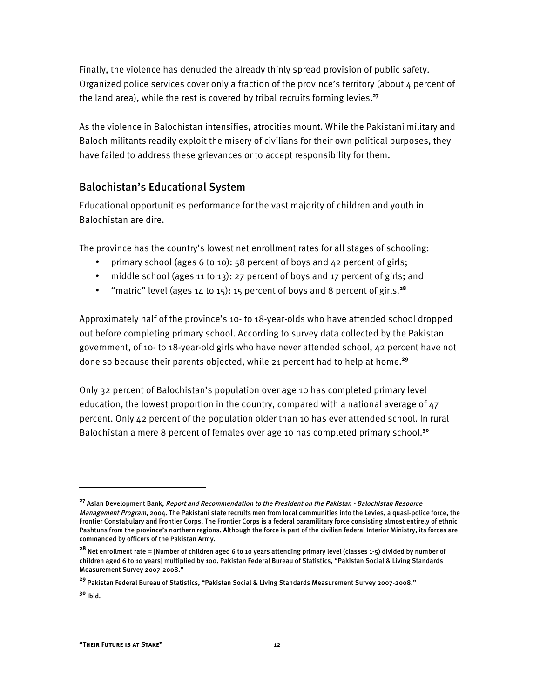Finally, the violence has denuded the already thinly spread provision of public safety. Organized police services cover only a fraction of the province's territory (about  $\mu$  percent of the land area), while the rest is covered by tribal recruits forming levies. **27**

As the violence in Balochistan intensifies, atrocities mount. While the Pakistani military and Baloch militants readily exploit the misery of civilians for their own political purposes, they have failed to address these grievances or to accept responsibility for them.

## Balochistan's Educational System

Educational opportunities performance for the vast majority of children and youth in Balochistan are dire.

The province has the country's lowest net enrollment rates for all stages of schooling:

- primary school (ages 6 to 10): 58 percent of boys and 42 percent of girls;
- middle school (ages 11 to 13): 27 percent of boys and 17 percent of girls; and
- "matric" level (ages 14 to 15): 15 percent of boys and 8 percent of girls.**<sup>28</sup>**

Approximately half of the province's 10- to 18-year-olds who have attended school dropped out before completing primary school. According to survey data collected by the Pakistan government, of 10- to 18-year-old girls who have never attended school, 42 percent have not done so because their parents objected, while 21 percent had to help at home. **29**

Only 32 percent of Balochistan's population over age 10 has completed primary level education, the lowest proportion in the country, compared with a national average of 47 percent. Only 42 percent of the population older than 10 has ever attended school. In rural Balochistan a mere 8 percent of females over age 10 has completed primary school.**<sup>30</sup>**

 $\overline{a}$ 

**<sup>27</sup>** Asian Development Bank, Report and Recommendation to the President on the Pakistan - Balochistan Resource Management Program, 2004. The Pakistani state recruits men from local communities into the Levies, a quasi-police force, the Frontier Constabulary and Frontier Corps. The Frontier Corps is a federal paramilitary force consisting almost entirely of ethnic Pashtuns from the province's northern regions. Although the force is part of the civilian federal Interior Ministry, its forces are commanded by officers of the Pakistan Army.

**<sup>28</sup>** Net enrollment rate = [Number of children aged 6 to 10 years attending primary level (classes 1-5) divided by number of children aged 6 to 10 years] multiplied by 100. Pakistan Federal Bureau of Statistics, "Pakistan Social & Living Standards Measurement Survey 2007-2008."

**<sup>29</sup>** Pakistan Federal Bureau of Statistics, "Pakistan Social & Living Standards Measurement Survey 2007-2008."

**<sup>30</sup>** Ibid.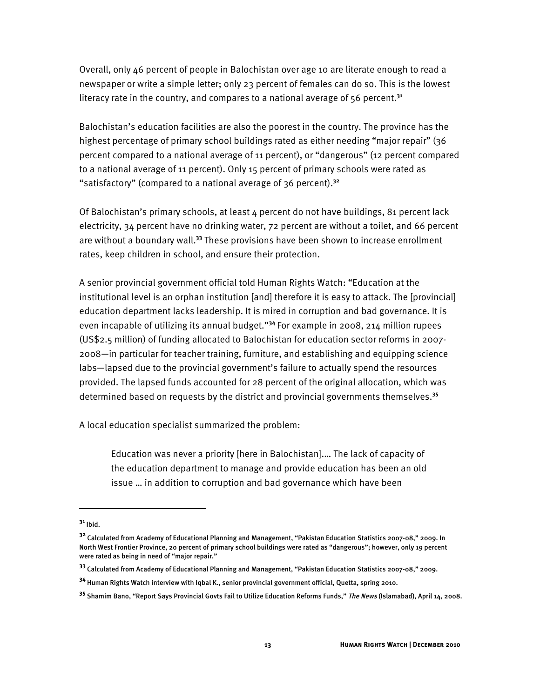Overall, only 46 percent of people in Balochistan over age 10 are literate enough to read a newspaper or write a simple letter; only 23 percent of females can do so. This is the lowest literacy rate in the country, and compares to a national average of 56 percent.**<sup>31</sup>**

Balochistan's education facilities are also the poorest in the country. The province has the highest percentage of primary school buildings rated as either needing "major repair" (36 percent compared to a national average of 11 percent), or "dangerous" (12 percent compared to a national average of 11 percent). Only 15 percent of primary schools were rated as "satisfactory" (compared to a national average of 36 percent).**<sup>32</sup>**

Of Balochistan's primary schools, at least 4 percent do not have buildings, 81 percent lack electricity, 34 percent have no drinking water, 72 percent are without a toilet, and 66 percent are without a boundary wall.**<sup>33</sup>** These provisions have been shown to increase enrollment rates, keep children in school, and ensure their protection.

A senior provincial government official told Human Rights Watch: "Education at the institutional level is an orphan institution [and] therefore it is easy to attack. The [provincial] education department lacks leadership. It is mired in corruption and bad governance. It is even incapable of utilizing its annual budget."**<sup>34</sup>** For example in 2008, 214 million rupees (US\$2.5 million) of funding allocated to Balochistan for education sector reforms in 2007- 2008—in particular for teacher training, furniture, and establishing and equipping science labs—lapsed due to the provincial government's failure to actually spend the resources provided. The lapsed funds accounted for 28 percent of the original allocation, which was determined based on requests by the district and provincial governments themselves.**<sup>35</sup>**

A local education specialist summarized the problem:

Education was never a priority [here in Balochistan].… The lack of capacity of the education department to manage and provide education has been an old issue … in addition to corruption and bad governance which have been

-

**<sup>31</sup>** Ibid.

**<sup>32</sup>** Calculated from Academy of Educational Planning and Management, "Pakistan Education Statistics 2007-08," 2009. In North West Frontier Province, 20 percent of primary school buildings were rated as "dangerous"; however, only 19 percent were rated as being in need of "major repair."

**<sup>33</sup>** Calculated from Academy of Educational Planning and Management, "Pakistan Education Statistics 2007-08," 2009.

**<sup>34</sup>** Human Rights Watch interview with Iqbal K., senior provincial government official, Quetta, spring 2010.

**<sup>35</sup>** Shamim Bano, "Report Says Provincial Govts Fail to Utilize Education Reforms Funds," The News (Islamabad), April 14, 2008.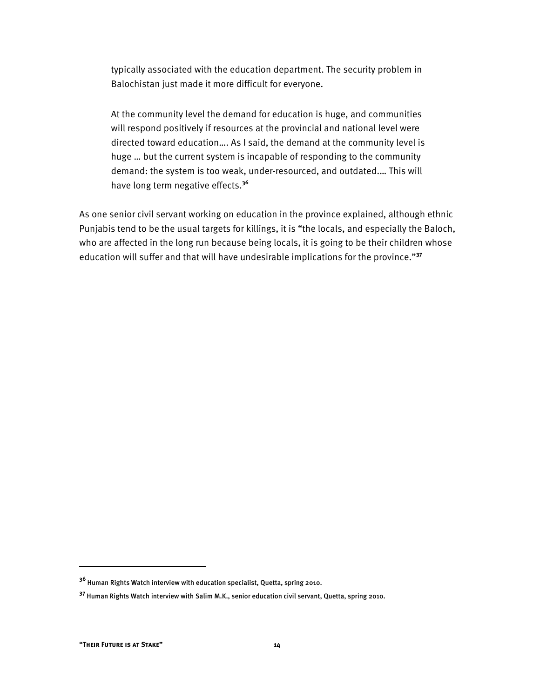typically associated with the education department. The security problem in Balochistan just made it more difficult for everyone.

At the community level the demand for education is huge, and communities will respond positively if resources at the provincial and national level were directed toward education…. As I said, the demand at the community level is huge … but the current system is incapable of responding to the community demand: the system is too weak, under-resourced, and outdated.… This will have long term negative effects.**<sup>36</sup>**

As one senior civil servant working on education in the province explained, although ethnic Punjabis tend to be the usual targets for killings, it is "the locals, and especially the Baloch, who are affected in the long run because being locals, it is going to be their children whose education will suffer and that will have undesirable implications for the province."**<sup>37</sup>**

İ

**<sup>36</sup>** Human Rights Watch interview with education specialist, Quetta, spring 2010.

**<sup>37</sup>** Human Rights Watch interview with Salim M.K., senior education civil servant, Quetta, spring 2010.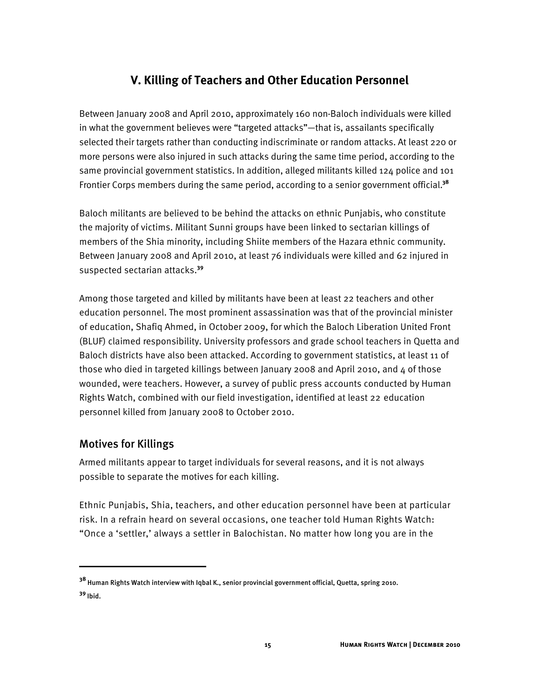## **V. Killing of Teachers and Other Education Personnel**

Between January 2008 and April 2010, approximately 160 non-Baloch individuals were killed in what the government believes were "targeted attacks"—that is, assailants specifically selected their targets rather than conducting indiscriminate or random attacks. At least 220 or more persons were also injured in such attacks during the same time period, according to the same provincial government statistics. In addition, alleged militants killed 124 police and 101 Frontier Corps members during the same period, according to a senior government official.**<sup>38</sup>**

Baloch militants are believed to be behind the attacks on ethnic Punjabis, who constitute the majority of victims. Militant Sunni groups have been linked to sectarian killings of members of the Shia minority, including Shiite members of the Hazara ethnic community. Between January 2008 and April 2010, at least 76 individuals were killed and 62 injured in suspected sectarian attacks.**<sup>39</sup>**

Among those targeted and killed by militants have been at least 22 teachers and other education personnel. The most prominent assassination was that of the provincial minister of education, Shafiq Ahmed, in October 2009, for which the Baloch Liberation United Front (BLUF) claimed responsibility. University professors and grade school teachers in Quetta and Baloch districts have also been attacked. According to government statistics, at least 11 of those who died in targeted killings between January 2008 and April 2010, and 4 of those wounded, were teachers. However, a survey of public press accounts conducted by Human Rights Watch, combined with our field investigation, identified at least 22 education personnel killed from January 2008 to October 2010.

## Motives for Killings

I

Armed militants appear to target individuals for several reasons, and it is not always possible to separate the motives for each killing.

Ethnic Punjabis, Shia, teachers, and other education personnel have been at particular risk. In a refrain heard on several occasions, one teacher told Human Rights Watch: "Once a 'settler,' always a settler in Balochistan. No matter how long you are in the

**<sup>38</sup>** Human Rights Watch interview with Iqbal K., senior provincial government official, Quetta, spring 2010. **<sup>39</sup>** Ibid.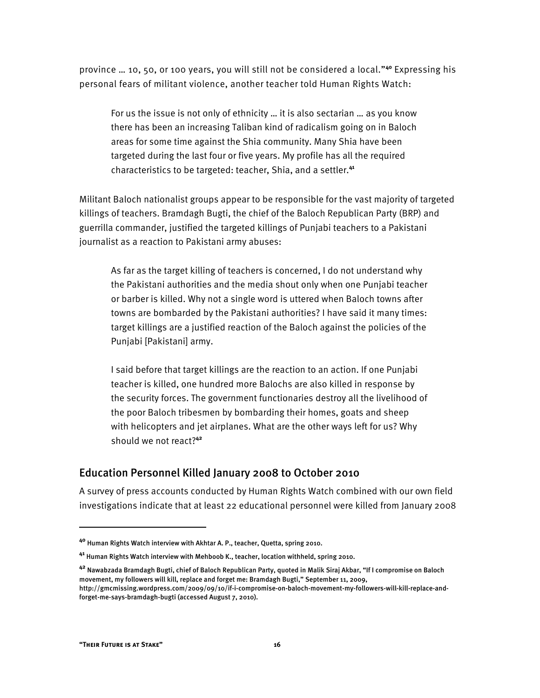province … 10, 50, or 100 years, you will still not be considered a local."**<sup>40</sup>** Expressing his personal fears of militant violence, another teacher told Human Rights Watch:

For us the issue is not only of ethnicity … it is also sectarian … as you know there has been an increasing Taliban kind of radicalism going on in Baloch areas for some time against the Shia community. Many Shia have been targeted during the last four or five years. My profile has all the required characteristics to be targeted: teacher, Shia, and a settler.**<sup>41</sup>**

Militant Baloch nationalist groups appear to be responsible for the vast majority of targeted killings of teachers. Bramdagh Bugti, the chief of the Baloch Republican Party (BRP) and guerrilla commander, justified the targeted killings of Punjabi teachers to a Pakistani journalist as a reaction to Pakistani army abuses:

As far as the target killing of teachers is concerned, I do not understand why the Pakistani authorities and the media shout only when one Punjabi teacher or barber is killed. Why not a single word is uttered when Baloch towns after towns are bombarded by the Pakistani authorities? I have said it many times: target killings are a justified reaction of the Baloch against the policies of the Punjabi [Pakistani] army.

I said before that target killings are the reaction to an action. If one Punjabi teacher is killed, one hundred more Balochs are also killed in response by the security forces. The government functionaries destroy all the livelihood of the poor Baloch tribesmen by bombarding their homes, goats and sheep with helicopters and jet airplanes. What are the other ways left for us? Why should we not react?**<sup>42</sup>**

## Education Personnel Killed January 2008 to October 2010

A survey of press accounts conducted by Human Rights Watch combined with our own field investigations indicate that at least 22 educational personnel were killed from January 2008

I

**<sup>40</sup>** Human Rights Watch interview with Akhtar A. P., teacher, Quetta, spring 2010.

**<sup>41</sup>** Human Rights Watch interview with Mehboob K., teacher, location withheld, spring 2010.

**<sup>42</sup>** Nawabzada Bramdagh Bugti, chief of Baloch Republican Party, quoted in Malik Siraj Akbar, "If I compromise on Baloch movement, my followers will kill, replace and forget me: Bramdagh Bugti," September 11, 2009, http://gmcmissing.wordpress.com/2009/09/10/if-i-compromise-on-baloch-movement-my-followers-will-kill-replace-andforget-me-says-bramdagh-bugti (accessed August 7, 2010).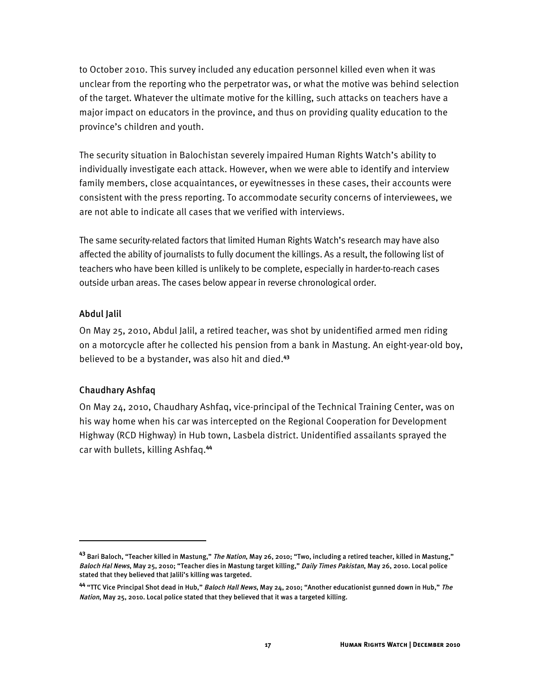to October 2010. This survey included any education personnel killed even when it was unclear from the reporting who the perpetrator was, or what the motive was behind selection of the target. Whatever the ultimate motive for the killing, such attacks on teachers have a major impact on educators in the province, and thus on providing quality education to the province's children and youth.

The security situation in Balochistan severely impaired Human Rights Watch's ability to individually investigate each attack. However, when we were able to identify and interview family members, close acquaintances, or eyewitnesses in these cases, their accounts were consistent with the press reporting. To accommodate security concerns of interviewees, we are not able to indicate all cases that we verified with interviews.

The same security-related factors that limited Human Rights Watch's research may have also affected the ability of journalists to fully document the killings. As a result, the following list of teachers who have been killed is unlikely to be complete, especially in harder-to-reach cases outside urban areas. The cases below appear in reverse chronological order.

#### Abdul Jalil

I

On May 25, 2010, Abdul Jalil, a retired teacher, was shot by unidentified armed men riding on a motorcycle after he collected his pension from a bank in Mastung. An eight-year-old boy, believed to be a bystander, was also hit and died.**<sup>43</sup>**

#### Chaudhary Ashfaq

On May 24, 2010, Chaudhary Ashfaq, vice-principal of the Technical Training Center, was on his way home when his car was intercepted on the Regional Cooperation for Development Highway (RCD Highway) in Hub town, Lasbela district. Unidentified assailants sprayed the car with bullets, killing Ashfaq.**<sup>44</sup>**

**<sup>43</sup>** Bari Baloch, "Teacher killed in Mastung," The Nation, May 26, 2010; "Two, including a retired teacher, killed in Mastung," Baloch Hal News, May 25, 2010; "Teacher dies in Mastung target killing," Daily Times Pakistan, May 26, 2010. Local police stated that they believed that Jalili's killing was targeted.

**<sup>44</sup>** "TTC Vice Principal Shot dead in Hub," Baloch Hall News, May 24, 2010; "Another educationist gunned down in Hub," The Nation, May 25, 2010. Local police stated that they believed that it was a targeted killing.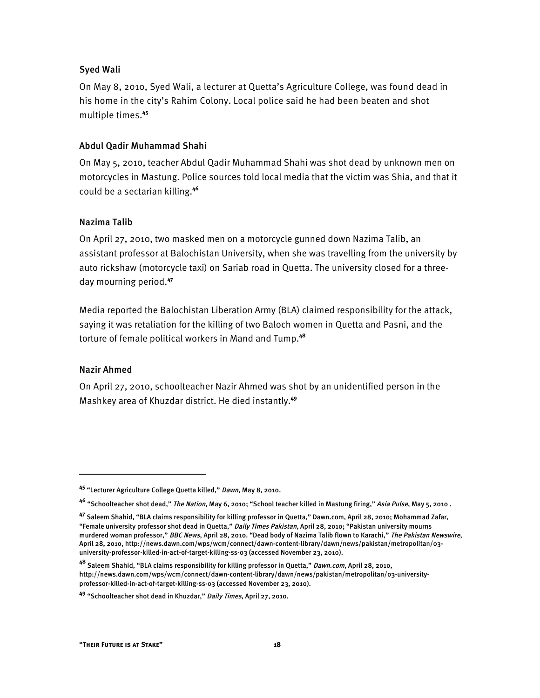#### Syed Wali

On May 8, 2010, Syed Wali, a lecturer at Quetta's Agriculture College, was found dead in his home in the city's Rahim Colony. Local police said he had been beaten and shot multiple times.**<sup>45</sup>**

#### Abdul Qadir Muhammad Shahi

On May 5, 2010, teacher Abdul Qadir Muhammad Shahi was shot dead by unknown men on motorcycles in Mastung. Police sources told local media that the victim was Shia, and that it could be a sectarian killing.**<sup>46</sup>**

#### Nazima Talib

On April 27, 2010, two masked men on a motorcycle gunned down Nazima Talib, an assistant professor at Balochistan University, when she was travelling from the university by auto rickshaw (motorcycle taxi) on Sariab road in Quetta. The university closed for a threeday mourning period. **47**

Media reported the Balochistan Liberation Army (BLA) claimed responsibility for the attack, saying it was retaliation for the killing of two Baloch women in Quetta and Pasni, and the torture of female political workers in Mand and Tump.**<sup>48</sup>**

#### Nazir Ahmed

1

On April 27, 2010, schoolteacher Nazir Ahmed was shot by an unidentified person in the Mashkey area of Khuzdar district. He died instantly.**<sup>49</sup>**

**<sup>45</sup>** "Lecturer Agriculture College Quetta killed," Dawn, May 8, 2010.

**<sup>46</sup>** "Schoolteacher shot dead," The Nation, May 6, 2010; "School teacher killed in Mastung firing," Asia Pulse, May 5, 2010 .

**<sup>47</sup>** Saleem Shahid, "BLA claims responsibility for killing professor in Quetta," Dawn.com, April 28, 2010; Mohammad Zafar, "Female university professor shot dead in Quetta," Daily Times Pakistan, April 28, 2010; "Pakistan university mourns murdered woman professor," BBC News, April 28, 2010. "Dead body of Nazima Talib flown to Karachi," The Pakistan Newswire, April 28, 2010, http://news.dawn.com/wps/wcm/connect/dawn-content-library/dawn/news/pakistan/metropolitan/03 university-professor-killed-in-act-of-target-killing-ss-03 (accessed November 23, 2010).

**<sup>48</sup>** Saleem Shahid, "BLA claims responsibility for killing professor in Quetta," Dawn.com, April 28, 2010, http://news.dawn.com/wps/wcm/connect/dawn-content-library/dawn/news/pakistan/metropolitan/03-universityprofessor-killed-in-act-of-target-killing-ss-03 (accessed November 23, 2010).

**<sup>49</sup>** "Schoolteacher shot dead in Khuzdar," Daily Times, April 27, 2010.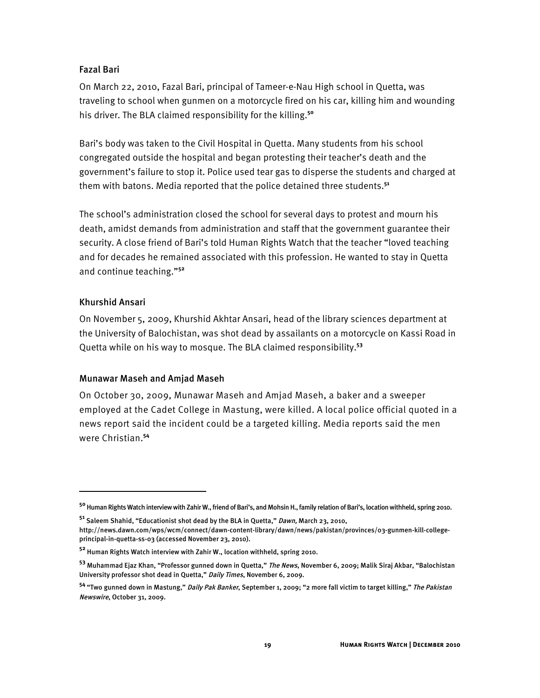#### Fazal Bari

On March 22, 2010, Fazal Bari, principal of Tameer-e-Nau High school in Quetta, was traveling to school when gunmen on a motorcycle fired on his car, killing him and wounding his driver. The BLA claimed responsibility for the killing. **50**

Bari's body was taken to the Civil Hospital in Quetta. Many students from his school congregated outside the hospital and began protesting their teacher's death and the government's failure to stop it. Police used tear gas to disperse the students and charged at them with batons. Media reported that the police detained three students.**<sup>51</sup>**

The school's administration closed the school for several days to protest and mourn his death, amidst demands from administration and staff that the government guarantee their security. A close friend of Bari's told Human Rights Watch that the teacher "loved teaching and for decades he remained associated with this profession. He wanted to stay in Quetta and continue teaching."**<sup>52</sup>**

#### Khurshid Ansari

֬֘֒

On November 5, 2009, Khurshid Akhtar Ansari, head of the library sciences department at the University of Balochistan, was shot dead by assailants on a motorcycle on Kassi Road in Quetta while on his way to mosque. The BLA claimed responsibility.**<sup>53</sup>**

#### Munawar Maseh and Amjad Maseh

On October 30, 2009, Munawar Maseh and Amjad Maseh, a baker and a sweeper employed at the Cadet College in Mastung, were killed. A local police official quoted in a news report said the incident could be a targeted killing. Media reports said the men were Christian.**<sup>54</sup>**

**<sup>50</sup>** Human Rights Watch interview with Zahir W., friend of Bari's, and Mohsin H., family relation of Bari's, location withheld, spring 2010.

**<sup>51</sup>** Saleem Shahid, "Educationist shot dead by the BLA in Quetta," Dawn, March 23, 2010, http://news.dawn.com/wps/wcm/connect/dawn-content-library/dawn/news/pakistan/provinces/03-gunmen-kill-collegeprincipal-in-quetta-ss-03 (accessed November 23, 2010).

**<sup>52</sup>** Human Rights Watch interview with Zahir W., location withheld, spring 2010.

**<sup>53</sup>** Muhammad Ejaz Khan, "Professor gunned down in Quetta," The News, November 6, 2009; Malik Siraj Akbar, "Balochistan University professor shot dead in Quetta," Daily Times, November 6, 2009.

**<sup>54</sup>** "Two gunned down in Mastung," Daily Pak Banker, September 1, 2009; "2 more fall victim to target killing," The Pakistan Newswire, October 31, 2009.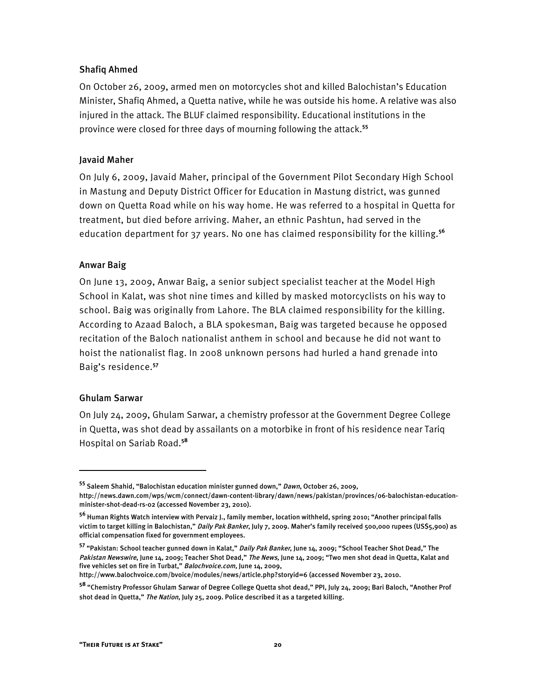#### Shafiq Ahmed

On October 26, 2009, armed men on motorcycles shot and killed Balochistan's Education Minister, Shafiq Ahmed, a Quetta native, while he was outside his home. A relative was also injured in the attack. The BLUF claimed responsibility. Educational institutions in the province were closed for three days of mourning following the attack.**<sup>55</sup>**

#### Javaid Maher

On July 6, 2009, Javaid Maher, principal of the Government Pilot Secondary High School in Mastung and Deputy District Officer for Education in Mastung district, was gunned down on Quetta Road while on his way home. He was referred to a hospital in Quetta for treatment, but died before arriving. Maher, an ethnic Pashtun, had served in the education department for 37 years. No one has claimed responsibility for the killing.**<sup>56</sup>**

#### Anwar Baig

On June 13, 2009, Anwar Baig, a senior subject specialist teacher at the Model High School in Kalat, was shot nine times and killed by masked motorcyclists on his way to school. Baig was originally from Lahore. The BLA claimed responsibility for the killing. According to Azaad Baloch, a BLA spokesman, Baig was targeted because he opposed recitation of the Baloch nationalist anthem in school and because he did not want to hoist the nationalist flag. In 2008 unknown persons had hurled a hand grenade into Baig's residence.**<sup>57</sup>**

#### Ghulam Sarwar

 $\overline{a}$ 

On July 24, 2009, Ghulam Sarwar, a chemistry professor at the Government Degree College in Quetta, was shot dead by assailants on a motorbike in front of his residence near Tariq Hospital on Sariab Road.**<sup>58</sup>**

http://www.balochvoice.com/bvoice/modules/news/article.php?storyid=6 (accessed November 23, 2010.

**<sup>55</sup>** Saleem Shahid, "Balochistan education minister gunned down," Dawn, October 26, 2009,

http://news.dawn.com/wps/wcm/connect/dawn-content-library/dawn/news/pakistan/provinces/06-balochistan-educationminister-shot-dead-rs-02 (accessed November 23, 2010).

**<sup>56</sup>** Human Rights Watch interview with Pervaiz J., family member, location withheld, spring 2010; "Another principal falls victim to target killing in Balochistan," *Daily Pak Banker*, July 7, 2009. Maher's family received 500,000 rupees (US\$5,900) as official compensation fixed for government employees.

**<sup>57</sup>** "Pakistan: School teacher gunned down in Kalat," Daily Pak Banker, June 14, 2009; "School Teacher Shot Dead," The Pakistan Newswire, June 14, 2009; Teacher Shot Dead," The News, June 14, 2009; "Two men shot dead in Quetta, Kalat and five vehicles set on fire in Turbat," Balochvoice.com, June 14, 2009,

**<sup>58</sup>** "Chemistry Professor Ghulam Sarwar of Degree College Quetta shot dead," PPI, July 24, 2009; Bari Baloch, "Another Prof shot dead in Quetta," The Nation, July 25, 2009. Police described it as a targeted killing.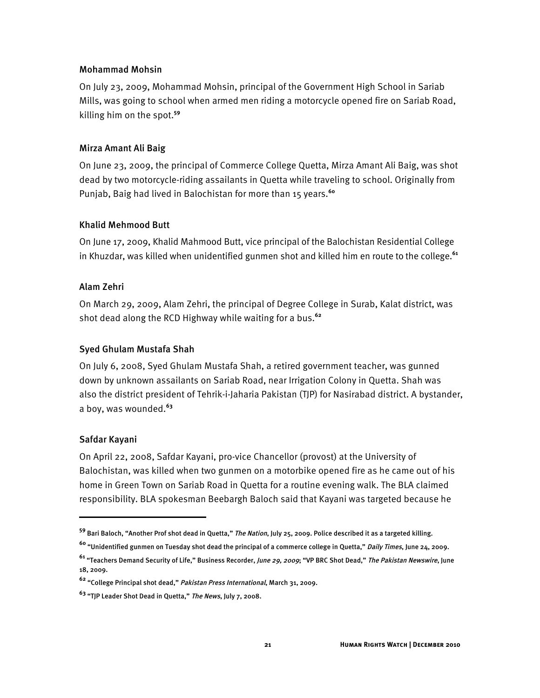#### Mohammad Mohsin

On July 23, 2009, Mohammad Mohsin, principal of the Government High School in Sariab Mills, was going to school when armed men riding a motorcycle opened fire on Sariab Road, killing him on the spot.**<sup>59</sup>**

#### Mirza Amant Ali Baig

On June 23, 2009, the principal of Commerce College Quetta, Mirza Amant Ali Baig, was shot dead by two motorcycle-riding assailants in Quetta while traveling to school. Originally from Punjab, Baig had lived in Balochistan for more than 15 years.**<sup>60</sup>**

#### Khalid Mehmood Butt

On June 17, 2009, Khalid Mahmood Butt, vice principal of the Balochistan Residential College in Khuzdar, was killed when unidentified gunmen shot and killed him en route to the college.**<sup>61</sup>**

#### Alam Zehri

On March 29, 2009, Alam Zehri, the principal of Degree College in Surab, Kalat district, was shot dead along the RCD Highway while waiting for a bus.**<sup>62</sup>**

#### Syed Ghulam Mustafa Shah

On July 6, 2008, Syed Ghulam Mustafa Shah, a retired government teacher, was gunned down by unknown assailants on Sariab Road, near Irrigation Colony in Quetta. Shah was also the district president of Tehrik-i-Jaharia Pakistan (TJP) for Nasirabad district. A bystander, a boy, was wounded. **63**

#### Safdar Kayani

İ

On April 22, 2008, Safdar Kayani, pro-vice Chancellor (provost) at the University of Balochistan, was killed when two gunmen on a motorbike opened fire as he came out of his home in Green Town on Sariab Road in Quetta for a routine evening walk. The BLA claimed responsibility. BLA spokesman Beebargh Baloch said that Kayani was targeted because he

**<sup>59</sup>** Bari Baloch, "Another Prof shot dead in Quetta," The Nation, July 25, 2009. Police described it as a targeted killing.

**<sup>60</sup>** "Unidentified gunmen on Tuesday shot dead the principal of a commerce college in Quetta," Daily Times, June 24, 2009.

**<sup>61</sup>** "Teachers Demand Security of Life," Business Recorder, June 29, 2009; "VP BRC Shot Dead," The Pakistan Newswire, June 18, 2009.

**<sup>62</sup>** "College Principal shot dead," Pakistan Press International, March 31, 2009.

**<sup>63</sup>** "TJP Leader Shot Dead in Quetta," The News, July 7, 2008.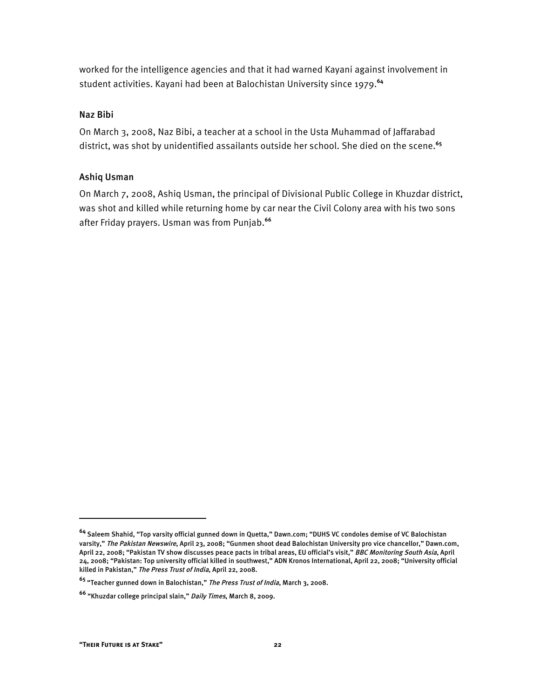worked for the intelligence agencies and that it had warned Kayani against involvement in student activities. Kayani had been at Balochistan University since 1979.**<sup>64</sup>**

#### Naz Bibi

On March 3, 2008, Naz Bibi, a teacher at a school in the Usta Muhammad of Jaffarabad district, was shot by unidentified assailants outside her school. She died on the scene.**<sup>65</sup>**

#### Ashiq Usman

On March 7, 2008, Ashiq Usman, the principal of Divisional Public College in Khuzdar district, was shot and killed while returning home by car near the Civil Colony area with his two sons after Friday prayers. Usman was from Punjab.**<sup>66</sup>**

֬֘֒

**<sup>64</sup>** Saleem Shahid, "Top varsity official gunned down in Quetta," Dawn.com; "DUHS VC condoles demise of VC Balochistan varsity," *The Pakistan Newswire*, April 23, 2008; "Gunmen shoot dead Balochistan University pro vice chancellor," Dawn.com, April 22, 2008; "Pakistan TV show discusses peace pacts in tribal areas, EU official's visit," *BBC Monitoring South Asia*, April 24, 2008; "Pakistan: Top university official killed in southwest," ADN Kronos International, April 22, 2008; "University official killed in Pakistan," The Press Trust of India, April 22, 2008.

**<sup>65</sup>** "Teacher gunned down in Balochistan," The Press Trust of India, March 3, 2008.

**<sup>66</sup>** "Khuzdar college principal slain," Daily Times, March 8, 2009.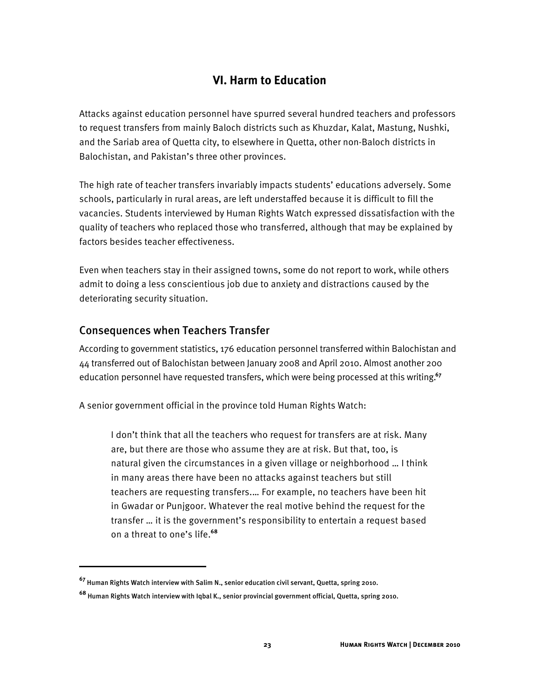## **VI. Harm to Education**

Attacks against education personnel have spurred several hundred teachers and professors to request transfers from mainly Baloch districts such as Khuzdar, Kalat, Mastung, Nushki, and the Sariab area of Quetta city, to elsewhere in Quetta, other non-Baloch districts in Balochistan, and Pakistan's three other provinces.

The high rate of teacher transfers invariably impacts students' educations adversely. Some schools, particularly in rural areas, are left understaffed because it is difficult to fill the vacancies. Students interviewed by Human Rights Watch expressed dissatisfaction with the quality of teachers who replaced those who transferred, although that may be explained by factors besides teacher effectiveness.

Even when teachers stay in their assigned towns, some do not report to work, while others admit to doing a less conscientious job due to anxiety and distractions caused by the deteriorating security situation.

#### Consequences when Teachers Transfer

I

According to government statistics, 176 education personnel transferred within Balochistan and 44 transferred out of Balochistan between January 2008 and April 2010. Almost another 200 education personnel have requested transfers, which were being processed at this writing.**<sup>67</sup>**

A senior government official in the province told Human Rights Watch:

I don't think that all the teachers who request for transfers are at risk. Many are, but there are those who assume they are at risk. But that, too, is natural given the circumstances in a given village or neighborhood … I think in many areas there have been no attacks against teachers but still teachers are requesting transfers.… For example, no teachers have been hit in Gwadar or Punjgoor. Whatever the real motive behind the request for the transfer … it is the government's responsibility to entertain a request based on a threat to one's life.**<sup>68</sup>**

**<sup>67</sup>** Human Rights Watch interview with Salim N., senior education civil servant, Quetta, spring 2010.

**<sup>68</sup>** Human Rights Watch interview with Iqbal K., senior provincial government official, Quetta, spring 2010.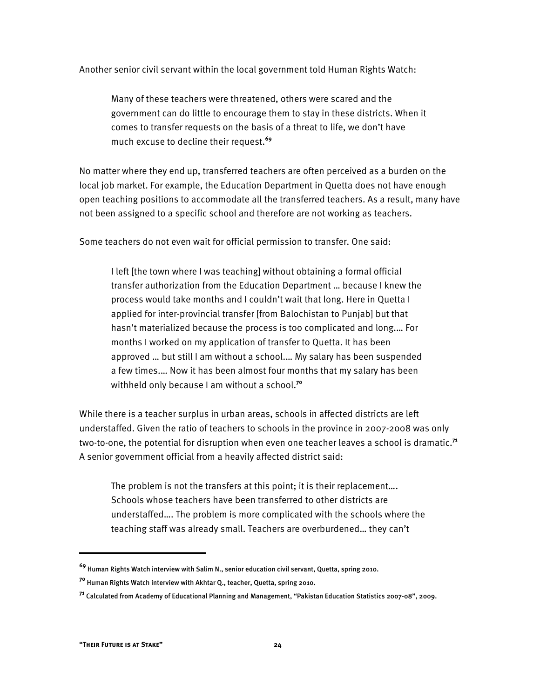Another senior civil servant within the local government told Human Rights Watch:

Many of these teachers were threatened, others were scared and the government can do little to encourage them to stay in these districts. When it comes to transfer requests on the basis of a threat to life, we don't have much excuse to decline their request.**<sup>69</sup>**

No matter where they end up, transferred teachers are often perceived as a burden on the local job market. For example, the Education Department in Quetta does not have enough open teaching positions to accommodate all the transferred teachers. As a result, many have not been assigned to a specific school and therefore are not working as teachers.

Some teachers do not even wait for official permission to transfer. One said:

I left [the town where I was teaching] without obtaining a formal official transfer authorization from the Education Department … because I knew the process would take months and I couldn't wait that long. Here in Quetta I applied for inter-provincial transfer [from Balochistan to Punjab] but that hasn't materialized because the process is too complicated and long.… For months I worked on my application of transfer to Quetta. It has been approved … but still I am without a school.… My salary has been suspended a few times.… Now it has been almost four months that my salary has been withheld only because I am without a school.**<sup>70</sup>**

While there is a teacher surplus in urban areas, schools in affected districts are left understaffed. Given the ratio of teachers to schools in the province in 2007-2008 was only two-to-one, the potential for disruption when even one teacher leaves a school is dramatic. **71** A senior government official from a heavily affected district said:

The problem is not the transfers at this point; it is their replacement…. Schools whose teachers have been transferred to other districts are understaffed…. The problem is more complicated with the schools where the teaching staff was already small. Teachers are overburdened… they can't

I

**<sup>69</sup>** Human Rights Watch interview with Salim N., senior education civil servant, Quetta, spring 2010.

**<sup>70</sup>** Human Rights Watch interview with Akhtar Q., teacher, Quetta, spring 2010.

**<sup>71</sup>** Calculated from Academy of Educational Planning and Management, "Pakistan Education Statistics 2007-08", 2009.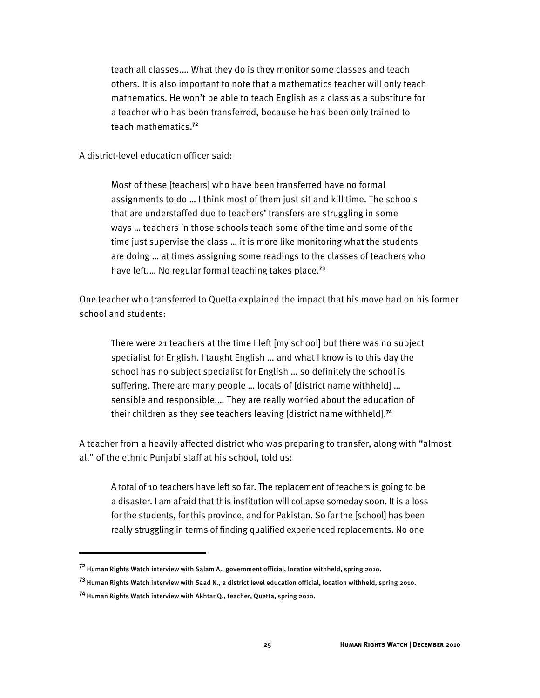teach all classes.… What they do is they monitor some classes and teach others. It is also important to note that a mathematics teacher will only teach mathematics. He won't be able to teach English as a class as a substitute for a teacher who has been transferred, because he has been only trained to teach mathematics.**<sup>72</sup>**

A district-level education officer said:

Most of these [teachers] who have been transferred have no formal assignments to do … I think most of them just sit and kill time. The schools that are understaffed due to teachers' transfers are struggling in some ways … teachers in those schools teach some of the time and some of the time just supervise the class … it is more like monitoring what the students are doing … at times assigning some readings to the classes of teachers who have left.… No regular formal teaching takes place.**<sup>73</sup>**

One teacher who transferred to Quetta explained the impact that his move had on his former school and students:

There were 21 teachers at the time I left [my school] but there was no subject specialist for English. I taught English … and what I know is to this day the school has no subject specialist for English … so definitely the school is suffering. There are many people … locals of [district name withheld] … sensible and responsible.… They are really worried about the education of their children as they see teachers leaving [district name withheld].**<sup>74</sup>**

A teacher from a heavily affected district who was preparing to transfer, along with "almost all" of the ethnic Punjabi staff at his school, told us:

A total of 10 teachers have left so far. The replacement of teachers is going to be a disaster. I am afraid that this institution will collapse someday soon. It is a loss for the students, for this province, and for Pakistan. So far the [school] has been really struggling in terms of finding qualified experienced replacements. No one

İ

**<sup>72</sup>** Human Rights Watch interview with Salam A., government official, location withheld, spring 2010.

**<sup>73</sup>** Human Rights Watch interview with Saad N., a district level education official, location withheld, spring 2010.

**<sup>74</sup>** Human Rights Watch interview with Akhtar Q., teacher, Quetta, spring 2010.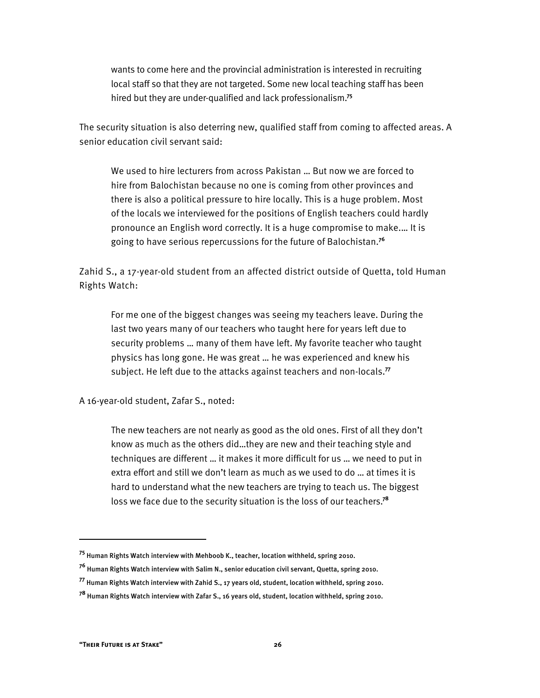wants to come here and the provincial administration is interested in recruiting local staff so that they are not targeted. Some new local teaching staff has been hired but they are under-qualified and lack professionalism.**<sup>75</sup>**

The security situation is also deterring new, qualified staff from coming to affected areas. A senior education civil servant said:

We used to hire lecturers from across Pakistan … But now we are forced to hire from Balochistan because no one is coming from other provinces and there is also a political pressure to hire locally. This is a huge problem. Most of the locals we interviewed for the positions of English teachers could hardly pronounce an English word correctly. It is a huge compromise to make.… It is going to have serious repercussions for the future of Balochistan.**<sup>76</sup>**

Zahid S., a 17-year-old student from an affected district outside of Quetta, told Human Rights Watch:

For me one of the biggest changes was seeing my teachers leave. During the last two years many of our teachers who taught here for years left due to security problems … many of them have left. My favorite teacher who taught physics has long gone. He was great … he was experienced and knew his subject. He left due to the attacks against teachers and non-locals.**<sup>77</sup>**

A 16-year-old student, Zafar S., noted:

The new teachers are not nearly as good as the old ones. First of all they don't know as much as the others did…they are new and their teaching style and techniques are different … it makes it more difficult for us … we need to put in extra effort and still we don't learn as much as we used to do … at times it is hard to understand what the new teachers are trying to teach us. The biggest loss we face due to the security situation is the loss of our teachers.**<sup>78</sup>**

I

**<sup>75</sup>** Human Rights Watch interview with Mehboob K., teacher, location withheld, spring 2010.

**<sup>76</sup>** Human Rights Watch interview with Salim N., senior education civil servant, Quetta, spring 2010.

**<sup>77</sup>** Human Rights Watch interview with Zahid S., 17 years old, student, location withheld, spring 2010.

**<sup>78</sup>** Human Rights Watch interview with Zafar S., 16 years old, student, location withheld, spring 2010.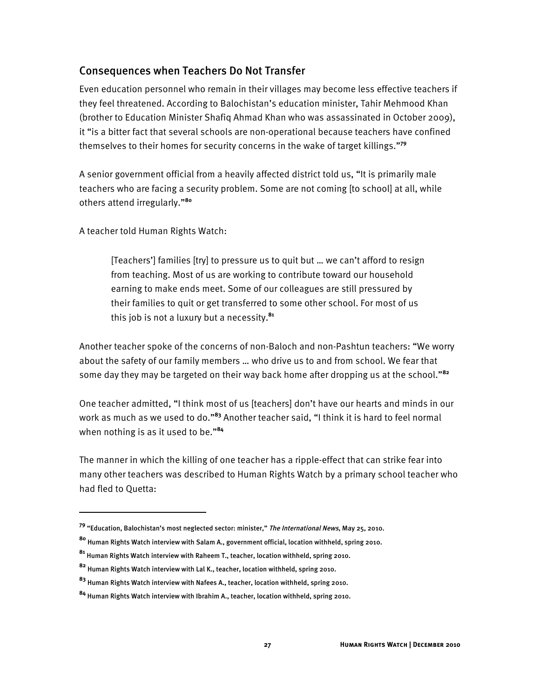## Consequences when Teachers Do Not Transfer

Even education personnel who remain in their villages may become less effective teachers if they feel threatened. According to Balochistan's education minister, Tahir Mehmood Khan (brother to Education Minister Shafiq Ahmad Khan who was assassinated in October 2009), it "is a bitter fact that several schools are non-operational because teachers have confined themselves to their homes for security concerns in the wake of target killings."**<sup>79</sup>**

A senior government official from a heavily affected district told us, "It is primarily male teachers who are facing a security problem. Some are not coming [to school] at all, while others attend irregularly."**<sup>80</sup>**

A teacher told Human Rights Watch:

1

[Teachers'] families [try] to pressure us to quit but … we can't afford to resign from teaching. Most of us are working to contribute toward our household earning to make ends meet. Some of our colleagues are still pressured by their families to quit or get transferred to some other school. For most of us this job is not a luxury but a necessity.**<sup>81</sup>**

Another teacher spoke of the concerns of non-Baloch and non-Pashtun teachers: "We worry about the safety of our family members … who drive us to and from school. We fear that some day they may be targeted on their way back home after dropping us at the school."**<sup>82</sup>**

One teacher admitted, "I think most of us [teachers] don't have our hearts and minds in our work as much as we used to do."**<sup>83</sup>** Another teacher said, "I think it is hard to feel normal when nothing is as it used to be."**<sup>84</sup>**

The manner in which the killing of one teacher has a ripple-effect that can strike fear into many other teachers was described to Human Rights Watch by a primary school teacher who had fled to Quetta:

**<sup>79</sup>** "Education, Balochistan's most neglected sector: minister," The International News, May 25, 2010.

**<sup>80</sup>** Human Rights Watch interview with Salam A., government official, location withheld, spring 2010.

**<sup>81</sup>** Human Rights Watch interview with Raheem T., teacher, location withheld, spring 2010.

**<sup>82</sup>** Human Rights Watch interview with Lal K., teacher, location withheld, spring 2010.

**<sup>83</sup>** Human Rights Watch interview with Nafees A., teacher, location withheld, spring 2010.

**<sup>84</sup>** Human Rights Watch interview with Ibrahim A., teacher, location withheld, spring 2010.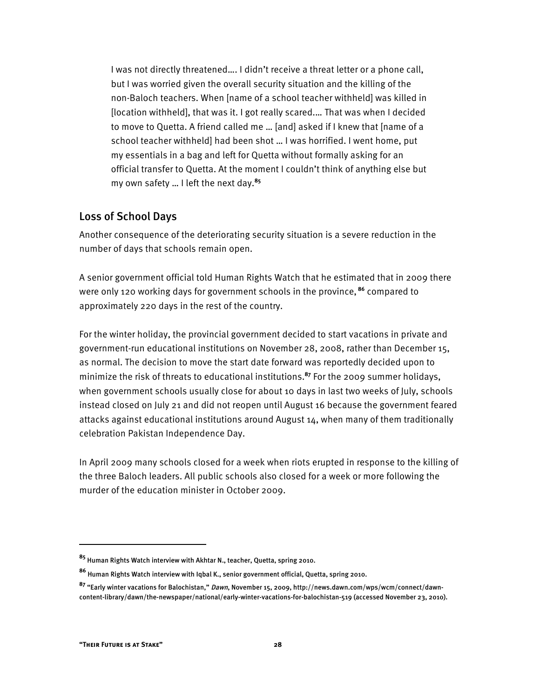I was not directly threatened…. I didn't receive a threat letter or a phone call, but I was worried given the overall security situation and the killing of the non-Baloch teachers. When [name of a school teacher withheld] was killed in [location withheld], that was it. I got really scared.… That was when I decided to move to Quetta. A friend called me … [and] asked if I knew that [name of a school teacher withheld] had been shot … I was horrified. I went home, put my essentials in a bag and left for Quetta without formally asking for an official transfer to Quetta. At the moment I couldn't think of anything else but my own safety … I left the next day.**<sup>85</sup>**

#### Loss of School Days

Another consequence of the deteriorating security situation is a severe reduction in the number of days that schools remain open.

A senior government official told Human Rights Watch that he estimated that in 2009 there were only 120 working days for government schools in the province, **<sup>86</sup>** compared to approximately 220 days in the rest of the country.

For the winter holiday, the provincial government decided to start vacations in private and government-run educational institutions on November 28, 2008, rather than December 15, as normal. The decision to move the start date forward was reportedly decided upon to minimize the risk of threats to educational institutions.**<sup>87</sup>** For the 2009 summer holidays, when government schools usually close for about 10 days in last two weeks of July, schools instead closed on July 21 and did not reopen until August 16 because the government feared attacks against educational institutions around August 14, when many of them traditionally celebration Pakistan Independence Day.

In April 2009 many schools closed for a week when riots erupted in response to the killing of the three Baloch leaders. All public schools also closed for a week or more following the murder of the education minister in October 2009.

-

**<sup>85</sup>** Human Rights Watch interview with Akhtar N., teacher, Quetta, spring 2010.

**<sup>86</sup>** Human Rights Watch interview with Iqbal K., senior government official, Quetta, spring 2010.

**<sup>87</sup>** "Early winter vacations for Balochistan," Dawn, November 15, 2009, http://news.dawn.com/wps/wcm/connect/dawncontent-library/dawn/the-newspaper/national/early-winter-vacations-for-balochistan-519 (accessed November 23, 2010).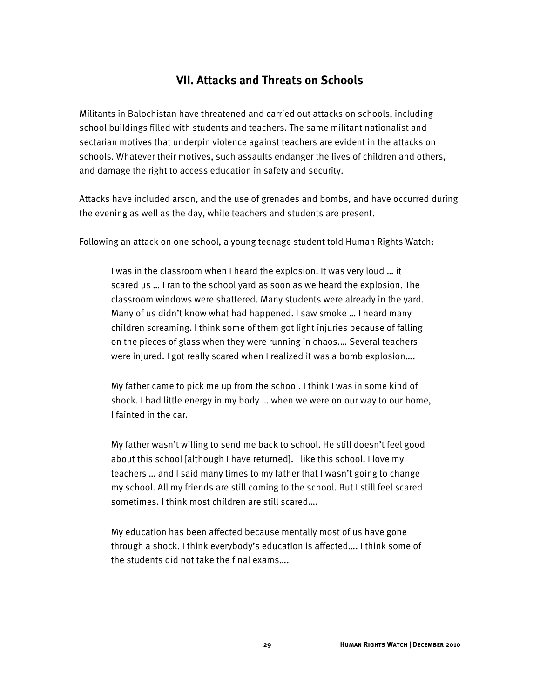## **VII. Attacks and Threats on Schools**

Militants in Balochistan have threatened and carried out attacks on schools, including school buildings filled with students and teachers. The same militant nationalist and sectarian motives that underpin violence against teachers are evident in the attacks on schools. Whatever their motives, such assaults endanger the lives of children and others, and damage the right to access education in safety and security.

Attacks have included arson, and the use of grenades and bombs, and have occurred during the evening as well as the day, while teachers and students are present.

Following an attack on one school, a young teenage student told Human Rights Watch:

I was in the classroom when I heard the explosion. It was very loud … it scared us … I ran to the school yard as soon as we heard the explosion. The classroom windows were shattered. Many students were already in the yard. Many of us didn't know what had happened. I saw smoke … I heard many children screaming. I think some of them got light injuries because of falling on the pieces of glass when they were running in chaos.… Several teachers were injured. I got really scared when I realized it was a bomb explosion….

My father came to pick me up from the school. I think I was in some kind of shock. I had little energy in my body … when we were on our way to our home, I fainted in the car.

My father wasn't willing to send me back to school. He still doesn't feel good about this school [although I have returned]. I like this school. I love my teachers … and I said many times to my father that I wasn't going to change my school. All my friends are still coming to the school. But I still feel scared sometimes. I think most children are still scared….

My education has been affected because mentally most of us have gone through a shock. I think everybody's education is affected…. I think some of the students did not take the final exams….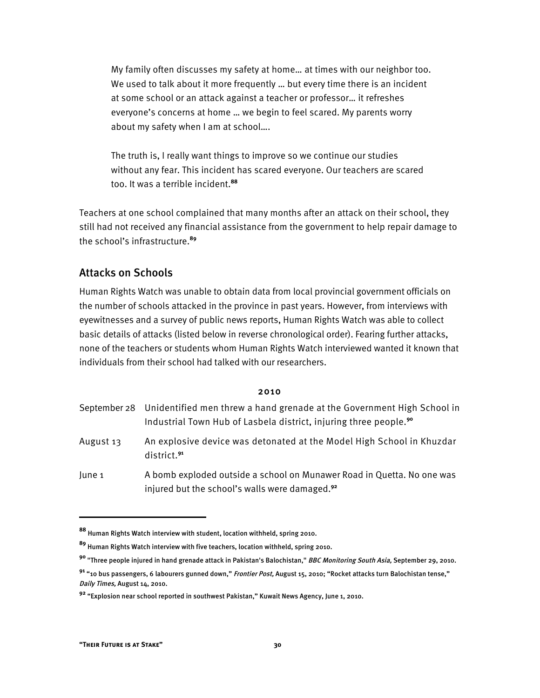My family often discusses my safety at home… at times with our neighbor too. We used to talk about it more frequently … but every time there is an incident at some school or an attack against a teacher or professor… it refreshes everyone's concerns at home … we begin to feel scared. My parents worry about my safety when I am at school….

The truth is, I really want things to improve so we continue our studies without any fear. This incident has scared everyone. Our teachers are scared too. It was a terrible incident.**<sup>88</sup>**

Teachers at one school complained that many months after an attack on their school, they still had not received any financial assistance from the government to help repair damage to the school's infrastructure.**<sup>89</sup>**

## Attacks on Schools

Human Rights Watch was unable to obtain data from local provincial government officials on the number of schools attacked in the province in past years. However, from interviews with eyewitnesses and a survey of public news reports, Human Rights Watch was able to collect basic details of attacks (listed below in reverse chronological order). Fearing further attacks, none of the teachers or students whom Human Rights Watch interviewed wanted it known that individuals from their school had talked with our researchers.

#### 2010

|           | September 28 Unidentified men threw a hand grenade at the Government High School in<br>Industrial Town Hub of Lasbela district, injuring three people. <sup>90</sup> |
|-----------|----------------------------------------------------------------------------------------------------------------------------------------------------------------------|
| August 13 | An explosive device was detonated at the Model High School in Khuzdar<br>district. <sup>91</sup>                                                                     |
| June 1    | A bomb exploded outside a school on Munawer Road in Quetta. No one was<br>injured but the school's walls were damaged. <sup>92</sup>                                 |

I

**<sup>88</sup>** Human Rights Watch interview with student, location withheld, spring 2010.

**<sup>89</sup>** Human Rights Watch interview with five teachers, location withheld, spring 2010.

**<sup>90</sup>** "Three people injured in hand grenade attack in Pakistan's Balochistan," BBC Monitoring South Asia, September 29, 2010.

**<sup>91</sup>** "10 bus passengers, 6 labourers gunned down," Frontier Post, August 15, 2010; "Rocket attacks turn Balochistan tense," Daily Times, August 14, 2010.

**<sup>92</sup>** "Explosion near school reported in southwest Pakistan," Kuwait News Agency, June 1, 2010.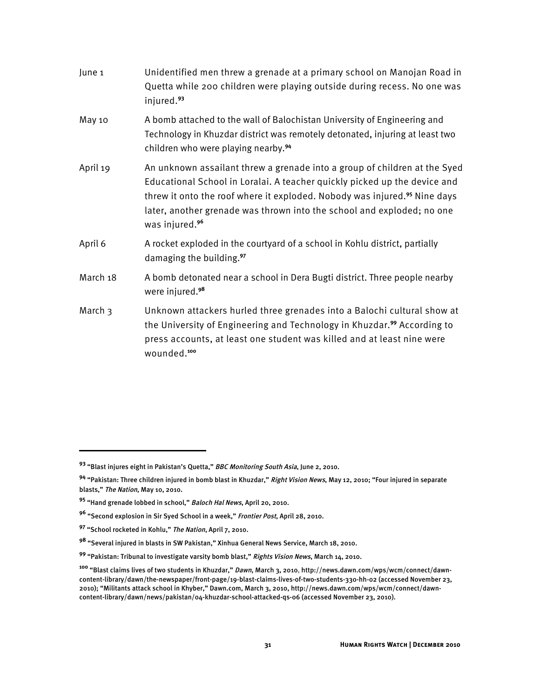| June 1   | Unidentified men threw a grenade at a primary school on Manojan Road in<br>Quetta while 200 children were playing outside during recess. No one was<br>injured. <sup>93</sup>                                                                                                                                                                           |
|----------|---------------------------------------------------------------------------------------------------------------------------------------------------------------------------------------------------------------------------------------------------------------------------------------------------------------------------------------------------------|
| May 10   | A bomb attached to the wall of Balochistan University of Engineering and<br>Technology in Khuzdar district was remotely detonated, injuring at least two<br>children who were playing nearby. <sup>94</sup>                                                                                                                                             |
| April 19 | An unknown assailant threw a grenade into a group of children at the Syed<br>Educational School in Loralai. A teacher quickly picked up the device and<br>threw it onto the roof where it exploded. Nobody was injured. <sup>95</sup> Nine days<br>later, another grenade was thrown into the school and exploded; no one<br>was injured. <sup>96</sup> |
| April 6  | A rocket exploded in the courtyard of a school in Kohlu district, partially<br>damaging the building. <sup>97</sup>                                                                                                                                                                                                                                     |
| March 18 | A bomb detonated near a school in Dera Bugti district. Three people nearby<br>were injured. <sup>98</sup>                                                                                                                                                                                                                                               |
| March 3  | Unknown attackers hurled three grenades into a Balochi cultural show at<br>the University of Engineering and Technology in Khuzdar. <sup>99</sup> According to<br>press accounts, at least one student was killed and at least nine were<br>wounded. <sup>100</sup>                                                                                     |

 $\overline{a}$ 

**<sup>93</sup>** "Blast injures eight in Pakistan's Quetta," BBC Monitoring South Asia, June 2, 2010.

**<sup>94</sup>** "Pakistan: Three children injured in bomb blast in Khuzdar," Right Vision News, May 12, 2010; "Four injured in separate blasts," The Nation, May 10, 2010.

**<sup>95</sup>** "Hand grenade lobbed in school," Baloch Hal News, April 20, 2010.

**<sup>96</sup>** "Second explosion in Sir Syed School in a week," Frontier Post, April 28, 2010.

**<sup>97</sup>** "School rocketed in Kohlu," The Nation, April 7, 2010.

**<sup>98</sup>** "Several injured in blasts in SW Pakistan," Xinhua General News Service, March 18, 2010.

**<sup>99</sup>** "Pakistan: Tribunal to investigate varsity bomb blast," Rights Vision News, March 14, 2010.

**<sup>100</sup>** "Blast claims lives of two students in Khuzdar," Dawn, March 3, 2010, http://news.dawn.com/wps/wcm/connect/dawncontent-library/dawn/the-newspaper/front-page/19-blast-claims-lives-of-two-students-330-hh-02 (accessed November 23, 2010); "Militants attack school in Khyber," Dawn.com, March 3, 2010, http://news.dawn.com/wps/wcm/connect/dawncontent-library/dawn/news/pakistan/04-khuzdar-school-attacked-qs-06 (accessed November 23, 2010).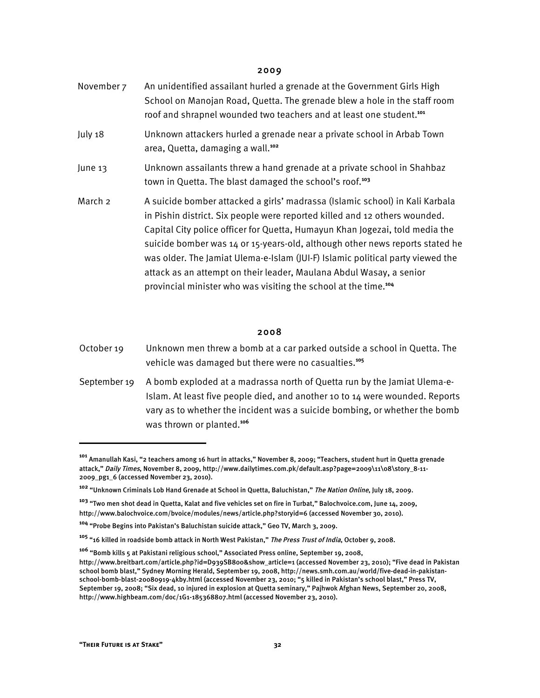#### 2009

| November 7 | An unidentified assailant hurled a grenade at the Government Girls High<br>School on Manojan Road, Quetta. The grenade blew a hole in the staff room<br>roof and shrapnel wounded two teachers and at least one student. <sup>101</sup>                                                                                                                                                                                                                                                                                                                            |
|------------|--------------------------------------------------------------------------------------------------------------------------------------------------------------------------------------------------------------------------------------------------------------------------------------------------------------------------------------------------------------------------------------------------------------------------------------------------------------------------------------------------------------------------------------------------------------------|
| July 18    | Unknown attackers hurled a grenade near a private school in Arbab Town<br>area, Quetta, damaging a wall. <sup>102</sup>                                                                                                                                                                                                                                                                                                                                                                                                                                            |
| June 13    | Unknown assailants threw a hand grenade at a private school in Shahbaz<br>town in Quetta. The blast damaged the school's roof. <sup>103</sup>                                                                                                                                                                                                                                                                                                                                                                                                                      |
| March 2    | A suicide bomber attacked a girls' madrassa (Islamic school) in Kali Karbala<br>in Pishin district. Six people were reported killed and 12 others wounded.<br>Capital City police officer for Quetta, Humayun Khan Jogezai, told media the<br>suicide bomber was 14 or 15-years-old, although other news reports stated he<br>was older. The Jamiat Ulema-e-Islam (JUI-F) Islamic political party viewed the<br>attack as an attempt on their leader, Maulana Abdul Wasay, a senior<br>provincial minister who was visiting the school at the time. <sup>104</sup> |

#### 2008

| October 19 | Unknown men threw a bomb at a car parked outside a school in Quetta. The |
|------------|--------------------------------------------------------------------------|
|            | vehicle was damaged but there were no casualties. <sup>105</sup>         |

September 19 A bomb exploded at a madrassa north of Quetta run by the Jamiat Ulema-e-Islam. At least five people died, and another 10 to 14 were wounded. Reports vary as to whether the incident was a suicide bombing, or whether the bomb was thrown or planted.**<sup>106</sup>**

I

**<sup>101</sup>** Amanullah Kasi, "2 teachers among 16 hurt in attacks," November 8, 2009; "Teachers, student hurt in Quetta grenade attack," Daily Times, November 8, 2009, http://www.dailytimes.com.pk/default.asp?page=2009\11\08\story\_8-11- 2009\_pg1\_6 (accessed November 23, 2010).

**<sup>102</sup>** "Unknown Criminals Lob Hand Grenade at School in Quetta, Baluchistan," The Nation Online, July 18, 2009.

**<sup>103</sup>** "Two men shot dead in Quetta, Kalat and five vehicles set on fire in Turbat," Balochvoice.com, June 14, 2009, http://www.balochvoice.com/bvoice/modules/news/article.php?storyid=6 (accessed November 30, 2010).

**<sup>104</sup>** "Probe Begins into Pakistan's Baluchistan suicide attack," Geo TV, March 3, 2009.

**<sup>105</sup>** "16 killed in roadside bomb attack in North West Pakistan," The Press Trust of India, October 9, 2008.

**<sup>106</sup>** "Bomb kills 5 at Pakistani religious school," Associated Press online, September 19, 2008, http://www.breitbart.com/article.php?id=D939SB800&show\_article=1 (accessed November 23, 2010); "Five dead in Pakistan school bomb blast," Sydney Morning Herald, September 19, 2008, http://news.smh.com.au/world/five-dead-in-pakistanschool-bomb-blast-20080919-4kby.html (accessed November 23, 2010; "5 killed in Pakistan's school blast," Press TV, September 19, 2008; "Six dead, 10 injured in explosion at Quetta seminary," Pajhwok Afghan News, September 20, 2008, http://www.highbeam.com/doc/1G1-185368807.html (accessed November 23, 2010).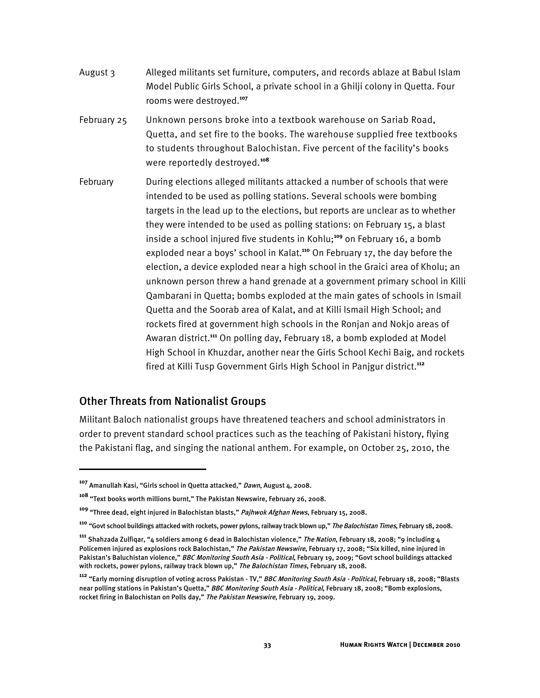- August 3 Alleged militants set furniture, computers, and records ablaze at Babul Islam Model Public Girls School, a private school in a Ghilji colony in Quetta. Four rooms were destroyed.**<sup>107</sup>**
- February 25 Unknown persons broke into a textbook warehouse on Sariab Road, Quetta, and set fire to the books. The warehouse supplied free textbooks to students throughout Balochistan. Five percent of the facility's books were reportedly destroyed.**<sup>108</sup>**
- February During elections alleged militants attacked a number of schools that were intended to be used as polling stations. Several schools were bombing targets in the lead up to the elections, but reports are unclear as to whether they were intended to be used as polling stations: on February 15, a blast inside a school injured five students in Kohlu;**<sup>109</sup>** on February 16, a bomb exploded near a boys' school in Kalat.**<sup>110</sup>** On February 17, the day before the election, a device exploded near a high school in the Graici area of Kholu; an unknown person threw a hand grenade at a government primary school in Killi Qambarani in Quetta; bombs exploded at the main gates of schools in Ismail Quetta and the Soorab area of Kalat, and at Killi Ismail High School; and rockets fired at government high schools in the Ronjan and Nokjo areas of Awaran district.**<sup>111</sup>** On polling day, February 18, a bomb exploded at Model High School in Khuzdar, another near the Girls School Kechi Baig, and rockets fired at Killi Tusp Government Girls High School in Panjgur district.**<sup>112</sup>**

#### Other Threats from Nationalist Groups

1

Militant Baloch nationalist groups have threatened teachers and school administrators in order to prevent standard school practices such as the teaching of Pakistani history, flying the Pakistani flag, and singing the national anthem. For example, on October 25, 2010, the

**<sup>107</sup>** Amanullah Kasi, "Girls school in Quetta attacked," Dawn, August 4, 2008.

**<sup>108</sup>** "Text books worth millions burnt," The Pakistan Newswire, February 26, 2008.

**<sup>109</sup>** "Three dead, eight injured in Balochistan blasts," Pajhwok Afghan News, February 15, 2008.

**<sup>110</sup>** "Govt school buildings attacked with rockets, power pylons, railway track blown up," The Balochistan Times, February 18, 2008.

**<sup>111</sup>** Shahzada Zulfiqar, "4 soldiers among 6 dead in Balochistan violence," The Nation, February 18, 2008; "9 including 4 Policemen injured as explosions rock Balochistan," The Pakistan Newswire, February 17, 2008; "Six killed, nine injured in Pakistan's Baluchistan violence," BBC Monitoring South Asia - Political, February 19, 2009; "Govt school buildings attacked with rockets, power pylons, railway track blown up," The Balochistan Times, February 18, 2008.

**<sup>112</sup>** "Early morning disruption of voting across Pakistan - TV," BBC Monitoring South Asia - Political, February 18, 2008; "Blasts near polling stations in Pakistan's Quetta," BBC Monitoring South Asia - Political, February 18, 2008; "Bomb explosions, rocket firing in Balochistan on Polls day," The Pakistan Newswire, February 19, 2009.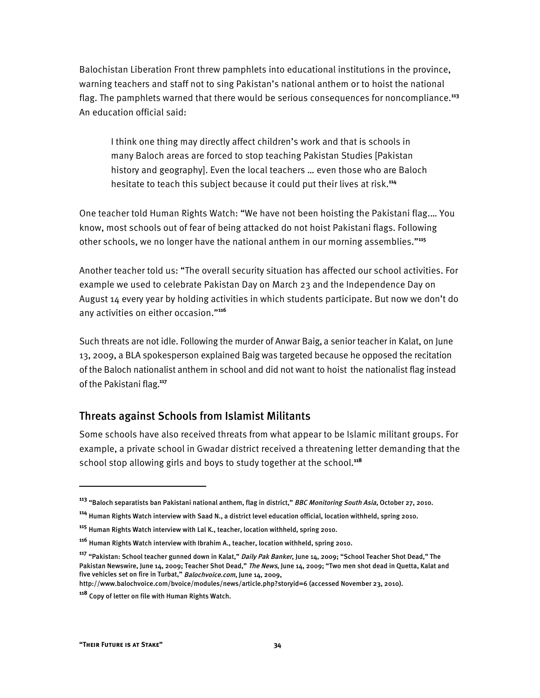Balochistan Liberation Front threw pamphlets into educational institutions in the province, warning teachers and staff not to sing Pakistan's national anthem or to hoist the national flag. The pamphlets warned that there would be serious consequences for noncompliance.**<sup>113</sup>** An education official said:

I think one thing may directly affect children's work and that is schools in many Baloch areas are forced to stop teaching Pakistan Studies [Pakistan history and geography]. Even the local teachers … even those who are Baloch hesitate to teach this subject because it could put their lives at risk.**<sup>114</sup>**

One teacher told Human Rights Watch: "We have not been hoisting the Pakistani flag.… You know, most schools out of fear of being attacked do not hoist Pakistani flags. Following other schools, we no longer have the national anthem in our morning assemblies."**<sup>115</sup>**

Another teacher told us: "The overall security situation has affected our school activities. For example we used to celebrate Pakistan Day on March 23 and the Independence Day on August 14 every year by holding activities in which students participate. But now we don't do any activities on either occasion."**<sup>116</sup>**

Such threats are not idle. Following the murder of Anwar Baig, a senior teacher in Kalat, on June 13, 2009, a BLA spokesperson explained Baig was targeted because he opposed the recitation of the Baloch nationalist anthem in school and did not want to hoist the nationalist flag instead of the Pakistani flag. **117**

## Threats against Schools from Islamist Militants

Some schools have also received threats from what appear to be Islamic militant groups. For example, a private school in Gwadar district received a threatening letter demanding that the school stop allowing girls and boys to study together at the school.**<sup>118</sup>**

http://www.balochvoice.com/bvoice/modules/news/article.php?storyid=6 (accessed November 23, 2010).

1

**<sup>113</sup>** "Baloch separatists ban Pakistani national anthem, flag in district," BBC Monitoring South Asia, October 27, 2010.

**<sup>114</sup>** Human Rights Watch interview with Saad N., a district level education official, location withheld, spring 2010.

**<sup>115</sup>** Human Rights Watch interview with Lal K., teacher, location withheld, spring 2010.

**<sup>116</sup>** Human Rights Watch interview with Ibrahim A., teacher, location withheld, spring 2010.

**<sup>117</sup>** "Pakistan: School teacher gunned down in Kalat," Daily Pak Banker, June 14, 2009; "School Teacher Shot Dead," The Pakistan Newswire, June 14, 2009; Teacher Shot Dead," The News, June 14, 2009; "Two men shot dead in Quetta, Kalat and five vehicles set on fire in Turbat," Balochvoice.com, June 14, 2009,

**<sup>118</sup>** Copy of letter on file with Human Rights Watch.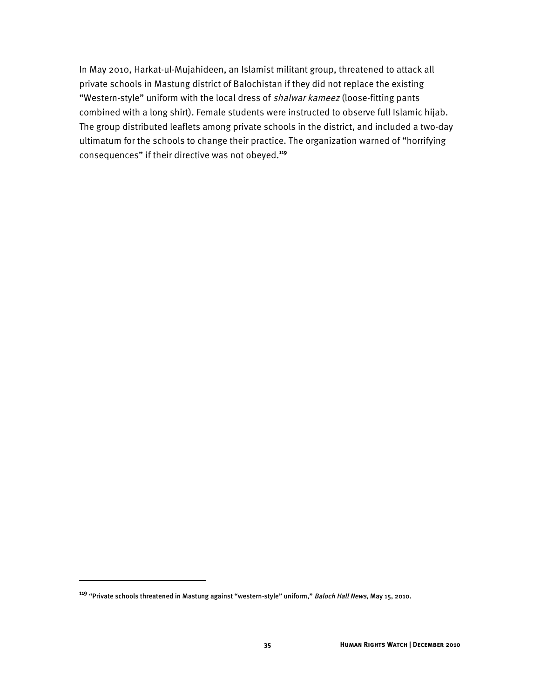In May 2010, Harkat-ul-Mujahideen, an Islamist militant group, threatened to attack all private schools in Mastung district of Balochistan if they did not replace the existing "Western-style" uniform with the local dress of shalwar kameez (loose-fitting pants combined with a long shirt). Female students were instructed to observe full Islamic hijab. The group distributed leaflets among private schools in the district, and included a two-day ultimatum for the schools to change their practice. The organization warned of "horrifying consequences" if their directive was not obeyed.**<sup>119</sup>**

1

**<sup>119</sup>** "Private schools threatened in Mastung against "western-style" uniform," Baloch Hall News, May 15, 2010.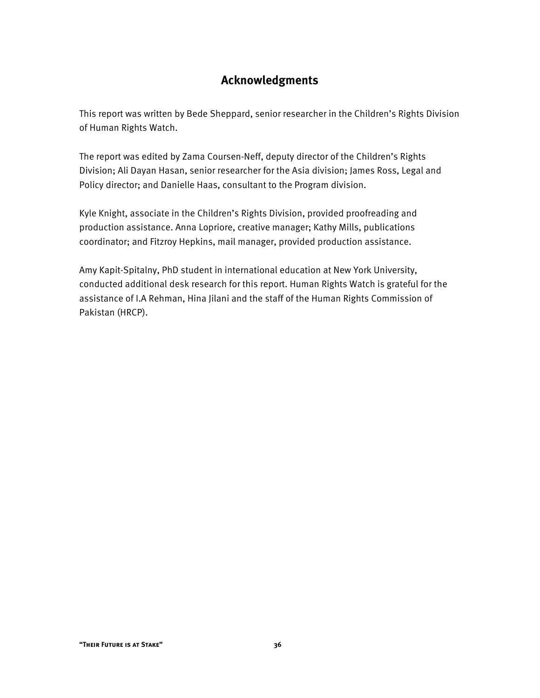## **Acknowledgments**

This report was written by Bede Sheppard, senior researcher in the Children's Rights Division of Human Rights Watch.

The report was edited by Zama Coursen-Neff, deputy director of the Children's Rights Division; Ali Dayan Hasan, senior researcher for the Asia division; James Ross, Legal and Policy director; and Danielle Haas, consultant to the Program division.

Kyle Knight, associate in the Children's Rights Division, provided proofreading and production assistance. Anna Lopriore, creative manager; Kathy Mills, publications coordinator; and Fitzroy Hepkins, mail manager, provided production assistance.

Amy Kapit-Spitalny, PhD student in international education at New York University, conducted additional desk research for this report. Human Rights Watch is grateful for the assistance of I.A Rehman, Hina Jilani and the staff of the Human Rights Commission of Pakistan (HRCP).